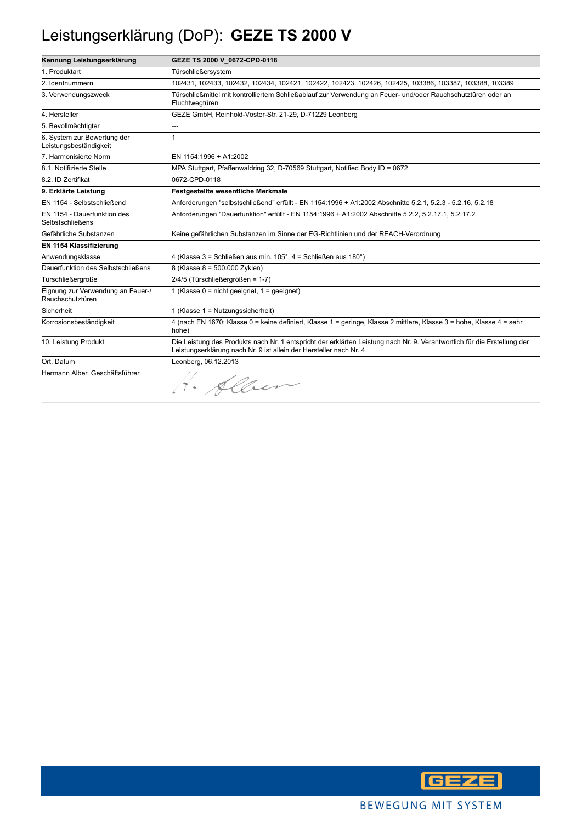### Leistungserklärung (DoP): **GEZE TS 2000 V**

| Kennung Leistungserklärung                            | GEZE TS 2000 V 0672-CPD-0118                                                                                                                                                                    |
|-------------------------------------------------------|-------------------------------------------------------------------------------------------------------------------------------------------------------------------------------------------------|
| 1. Produktart                                         | Türschließersystem                                                                                                                                                                              |
| 2. Identnummern                                       | 102431, 102433, 102432, 102434, 102421, 102422, 102423, 102426, 102425, 103386, 103387, 103388, 103389                                                                                          |
| 3. Verwendungszweck                                   | Türschließmittel mit kontrolliertem Schließablauf zur Verwendung an Feuer- und/oder Rauchschutztüren oder an<br>Fluchtwegtüren                                                                  |
| 4. Hersteller                                         | GEZE GmbH, Reinhold-Vöster-Str. 21-29, D-71229 Leonberg                                                                                                                                         |
| 5. Bevollmächtigter                                   |                                                                                                                                                                                                 |
| 6. System zur Bewertung der<br>Leistungsbeständigkeit | 1                                                                                                                                                                                               |
| 7. Harmonisierte Norm                                 | EN 1154:1996 + A1:2002                                                                                                                                                                          |
| 8.1. Notifizierte Stelle                              | MPA Stuttgart, Pfaffenwaldring 32, D-70569 Stuttgart, Notified Body ID = 0672                                                                                                                   |
| 8.2. ID Zertifikat                                    | 0672-CPD-0118                                                                                                                                                                                   |
| 9. Erklärte Leistung                                  | <b>Festgestellte wesentliche Merkmale</b>                                                                                                                                                       |
| EN 1154 - Selbstschließend                            | Anforderungen "selbstschließend" erfüllt - EN 1154:1996 + A1:2002 Abschnitte 5.2.1, 5.2.3 - 5.2.16, 5.2.18                                                                                      |
| EN 1154 - Dauerfunktion des<br>Selbstschließens       | Anforderungen "Dauerfunktion" erfüllt - EN 1154:1996 + A1:2002 Abschnitte 5.2.2, 5.2.17.1, 5.2.17.2                                                                                             |
| Gefährliche Substanzen                                | Keine gefährlichen Substanzen im Sinne der EG-Richtlinien und der REACH-Verordnung                                                                                                              |
| EN 1154 Klassifizierung                               |                                                                                                                                                                                                 |
| Anwendungsklasse                                      | 4 (Klasse 3 = Schließen aus min. 105°, 4 = Schließen aus 180°)                                                                                                                                  |
| Dauerfunktion des Selbstschließens                    | 8 (Klasse 8 = 500.000 Zyklen)                                                                                                                                                                   |
| Türschließergröße                                     | 2/4/5 (Türschließergrößen = 1-7)                                                                                                                                                                |
| Eignung zur Verwendung an Feuer-/<br>Rauchschutztüren | 1 (Klasse $0 = \text{nicht}$ geeignet, $1 = \text{qeeigner}$ )                                                                                                                                  |
| Sicherheit                                            | 1 (Klasse 1 = Nutzungssicherheit)                                                                                                                                                               |
| Korrosionsbeständigkeit                               | 4 (nach EN 1670: Klasse 0 = keine definiert, Klasse 1 = geringe, Klasse 2 mittlere, Klasse 3 = hohe, Klasse 4 = sehr<br>hohe)                                                                   |
| 10. Leistung Produkt                                  | Die Leistung des Produkts nach Nr. 1 entspricht der erklärten Leistung nach Nr. 9. Verantwortlich für die Erstellung der<br>Leistungserklärung nach Nr. 9 ist allein der Hersteller nach Nr. 4. |
| Ort, Datum                                            | Leonberg, 06.12.2013                                                                                                                                                                            |
| Hermann Alber, Geschäftsführer                        | H. Alber                                                                                                                                                                                        |

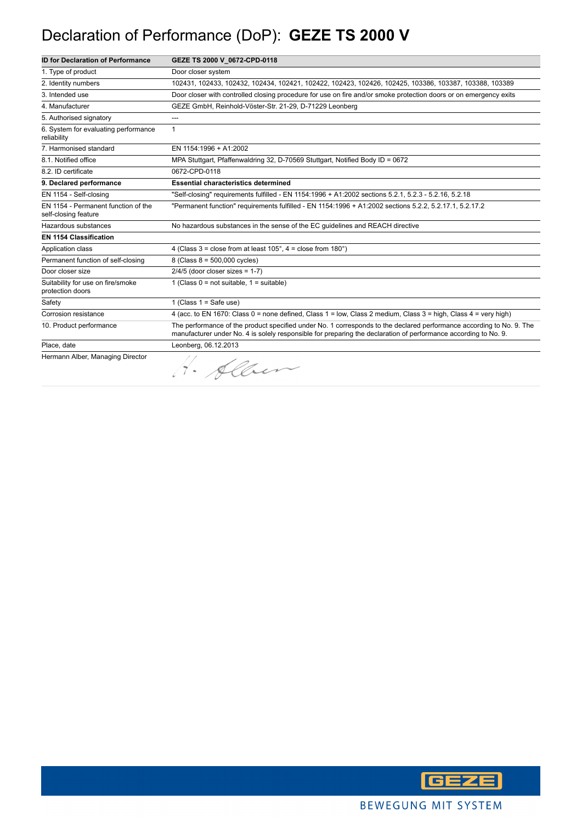### Declaration of Performance (DoP): **GEZE TS 2000 V**

| <b>ID for Declaration of Performance</b>                    | GEZE TS 2000 V 0672-CPD-0118                                                                                                                                                                                                            |
|-------------------------------------------------------------|-----------------------------------------------------------------------------------------------------------------------------------------------------------------------------------------------------------------------------------------|
| 1. Type of product                                          | Door closer system                                                                                                                                                                                                                      |
| 2. Identity numbers                                         | 102431, 102433, 102432, 102434, 102421, 102422, 102423, 102426, 102425, 103386, 103387, 103388, 103389                                                                                                                                  |
| 3. Intended use                                             | Door closer with controlled closing procedure for use on fire and/or smoke protection doors or on emergency exits                                                                                                                       |
| 4. Manufacturer                                             | GEZE GmbH, Reinhold-Vöster-Str. 21-29, D-71229 Leonberg                                                                                                                                                                                 |
| 5. Authorised signatory                                     | ---                                                                                                                                                                                                                                     |
| 6. System for evaluating performance<br>reliability         | $\mathbf{1}$                                                                                                                                                                                                                            |
| 7. Harmonised standard                                      | EN 1154:1996 + A1:2002                                                                                                                                                                                                                  |
| 8.1. Notified office                                        | MPA Stuttgart, Pfaffenwaldring 32, D-70569 Stuttgart, Notified Body ID = 0672                                                                                                                                                           |
| 8.2. ID certificate                                         | 0672-CPD-0118                                                                                                                                                                                                                           |
| 9. Declared performance                                     | <b>Essential characteristics determined</b>                                                                                                                                                                                             |
| EN 1154 - Self-closing                                      | "Self-closing" requirements fulfilled - EN 1154:1996 + A1:2002 sections 5.2.1, 5.2.3 - 5.2.16, 5.2.18                                                                                                                                   |
| EN 1154 - Permanent function of the<br>self-closing feature | "Permanent function" requirements fulfilled - EN 1154:1996 + A1:2002 sections 5.2.2, 5.2.17.1, 5.2.17.2                                                                                                                                 |
| Hazardous substances                                        | No hazardous substances in the sense of the EC guidelines and REACH directive                                                                                                                                                           |
| <b>EN 1154 Classification</b>                               |                                                                                                                                                                                                                                         |
| Application class                                           | 4 (Class 3 = close from at least $105^\circ$ , 4 = close from $180^\circ$ )                                                                                                                                                             |
| Permanent function of self-closing                          | 8 (Class $8 = 500,000$ cycles)                                                                                                                                                                                                          |
| Door closer size                                            | $2/4/5$ (door closer sizes = 1-7)                                                                                                                                                                                                       |
| Suitability for use on fire/smoke<br>protection doors       | 1 (Class $0 = not suitable$ , $1 = suitable$ )                                                                                                                                                                                          |
| Safety                                                      | 1 (Class $1 =$ Safe use)                                                                                                                                                                                                                |
| Corrosion resistance                                        | 4 (acc. to EN 1670: Class 0 = none defined, Class 1 = low, Class 2 medium, Class 3 = high, Class 4 = very high)                                                                                                                         |
| 10. Product performance                                     | The performance of the product specified under No. 1 corresponds to the declared performance according to No. 9. The<br>manufacturer under No. 4 is solely responsible for preparing the declaration of performance according to No. 9. |
| Place, date                                                 | Leonberg, 06.12.2013                                                                                                                                                                                                                    |
| Hermann Alber, Managing Director                            | 4. Alber                                                                                                                                                                                                                                |

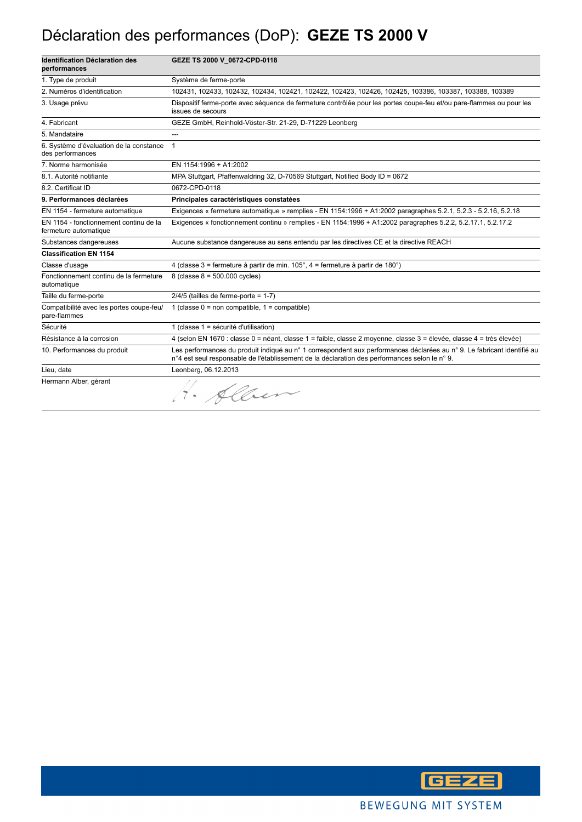### Déclaration des performances (DoP): **GEZE TS 2000 V**

| <b>Identification Déclaration des</b><br>performances           | GEZE TS 2000 V 0672-CPD-0118                                                                                                                                                                                            |
|-----------------------------------------------------------------|-------------------------------------------------------------------------------------------------------------------------------------------------------------------------------------------------------------------------|
| 1. Type de produit                                              | Système de ferme-porte                                                                                                                                                                                                  |
| 2. Numéros d'identification                                     | 102431, 102433, 102432, 102434, 102421, 102422, 102423, 102426, 102425, 103386, 103387, 103388, 103389                                                                                                                  |
| 3. Usage prévu                                                  | Dispositif ferme-porte avec séquence de fermeture contrôlée pour les portes coupe-feu et/ou pare-flammes ou pour les<br>issues de secours                                                                               |
| 4. Fabricant                                                    | GEZE GmbH, Reinhold-Vöster-Str. 21-29, D-71229 Leonberg                                                                                                                                                                 |
| 5. Mandataire                                                   | ---                                                                                                                                                                                                                     |
| 6. Système d'évaluation de la constance<br>des performances     | $\mathbf{1}$                                                                                                                                                                                                            |
| 7. Norme harmonisée                                             | EN 1154:1996 + A1:2002                                                                                                                                                                                                  |
| 8.1. Autorité notifiante                                        | MPA Stuttgart, Pfaffenwaldring 32, D-70569 Stuttgart, Notified Body ID = 0672                                                                                                                                           |
| 8.2. Certificat ID                                              | 0672-CPD-0118                                                                                                                                                                                                           |
| 9. Performances déclarées                                       | Principales caractéristiques constatées                                                                                                                                                                                 |
| EN 1154 - fermeture automatique                                 | Exigences « fermeture automatique » remplies - EN 1154:1996 + A1:2002 paragraphes 5.2.1, 5.2.3 - 5.2.16, 5.2.18                                                                                                         |
| EN 1154 - fonctionnement continu de la<br>fermeture automatique | Exigences « fonctionnement continu » remplies - EN 1154:1996 + A1:2002 paragraphes 5.2.2, 5.2.17.1, 5.2.17.2                                                                                                            |
| Substances dangereuses                                          | Aucune substance dangereuse au sens entendu par les directives CE et la directive REACH                                                                                                                                 |
| <b>Classification EN 1154</b>                                   |                                                                                                                                                                                                                         |
| Classe d'usage                                                  | 4 (classe 3 = fermeture à partir de min. 105°, 4 = fermeture à partir de 180°)                                                                                                                                          |
| Fonctionnement continu de la fermeture<br>automatique           | 8 (classe $8 = 500.000$ cycles)                                                                                                                                                                                         |
| Taille du ferme-porte                                           | $2/4/5$ (tailles de ferme-porte = 1-7)                                                                                                                                                                                  |
| Compatibilité avec les portes coupe-feu/<br>pare-flammes        | 1 (classe $0 =$ non compatible, $1 =$ compatible)                                                                                                                                                                       |
| Sécurité                                                        | 1 (classe 1 = sécurité d'utilisation)                                                                                                                                                                                   |
| Résistance à la corrosion                                       | 4 (selon EN 1670 : classe 0 = néant, classe 1 = faible, classe 2 moyenne, classe 3 = élevée, classe 4 = très élevée)                                                                                                    |
| 10. Performances du produit                                     | Les performances du produit indiqué au n° 1 correspondent aux performances déclarées au n° 9. Le fabricant identifié au<br>n°4 est seul responsable de l'établissement de la déclaration des performances selon le n°9. |
| Lieu, date                                                      | Leonberg, 06.12.2013                                                                                                                                                                                                    |
| Hermann Alber, gérant                                           | 1. Alben                                                                                                                                                                                                                |

**GEZE**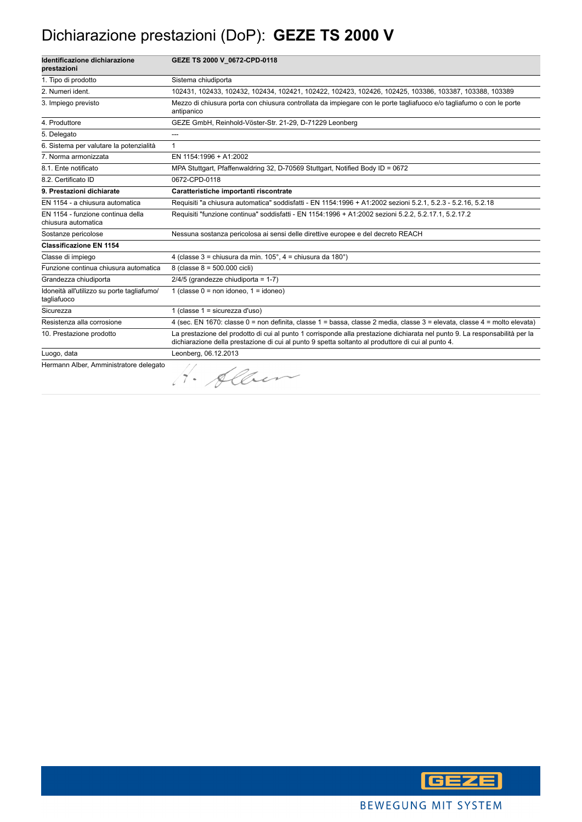#### Dichiarazione prestazioni (DoP): **GEZE TS 2000 V**

| Identificazione dichiarazione<br>prestazioni              | GEZE TS 2000 V 0672-CPD-0118                                                                                                                                                                                                      |
|-----------------------------------------------------------|-----------------------------------------------------------------------------------------------------------------------------------------------------------------------------------------------------------------------------------|
| 1. Tipo di prodotto                                       | Sistema chiudiporta                                                                                                                                                                                                               |
| 2. Numeri ident.                                          | 102431, 102433, 102432, 102434, 102421, 102422, 102423, 102426, 102425, 103386, 103387, 103388, 103389                                                                                                                            |
| 3. Impiego previsto                                       | Mezzo di chiusura porta con chiusura controllata da impiegare con le porte tagliafuoco e/o tagliafumo o con le porte<br>antipanico                                                                                                |
| 4. Produttore                                             | GEZE GmbH, Reinhold-Vöster-Str. 21-29, D-71229 Leonberg                                                                                                                                                                           |
| 5. Delegato                                               | ---                                                                                                                                                                                                                               |
| 6. Sistema per valutare la potenzialità                   | $\mathbf{1}$                                                                                                                                                                                                                      |
| 7. Norma armonizzata                                      | EN 1154:1996 + A1:2002                                                                                                                                                                                                            |
| 8.1. Ente notificato                                      | MPA Stuttgart, Pfaffenwaldring 32, D-70569 Stuttgart, Notified Body ID = 0672                                                                                                                                                     |
| 8.2. Certificato ID                                       | 0672-CPD-0118                                                                                                                                                                                                                     |
| 9. Prestazioni dichiarate                                 | Caratteristiche importanti riscontrate                                                                                                                                                                                            |
| EN 1154 - a chiusura automatica                           | Requisiti "a chiusura automatica" soddisfatti - EN 1154:1996 + A1:2002 sezioni 5.2.1, 5.2.3 - 5.2.16, 5.2.18                                                                                                                      |
| EN 1154 - funzione continua della<br>chiusura automatica  | Requisiti "funzione continua" soddisfatti - EN 1154:1996 + A1:2002 sezioni 5.2.2, 5.2.17.1, 5.2.17.2                                                                                                                              |
| Sostanze pericolose                                       | Nessuna sostanza pericolosa ai sensi delle direttive europee e del decreto REACH                                                                                                                                                  |
| <b>Classificazione EN 1154</b>                            |                                                                                                                                                                                                                                   |
| Classe di impiego                                         | 4 (classe $3$ = chiusura da min. $105^\circ$ , $4$ = chiusura da $180^\circ$ )                                                                                                                                                    |
| Funzione continua chiusura automatica                     | 8 (classe 8 = 500.000 cicli)                                                                                                                                                                                                      |
| Grandezza chiudiporta                                     | $2/4/5$ (grandezze chiudiporta = 1-7)                                                                                                                                                                                             |
| Idoneità all'utilizzo su porte tagliafumo/<br>tagliafuoco | 1 (classe $0 = \text{non}$ idoneo, $1 = \text{idoneo}$ )                                                                                                                                                                          |
| Sicurezza                                                 | 1 (classe $1 =$ sicurezza d'uso)                                                                                                                                                                                                  |
| Resistenza alla corrosione                                | 4 (sec. EN 1670: classe 0 = non definita, classe 1 = bassa, classe 2 media, classe 3 = elevata, classe 4 = molto elevata)                                                                                                         |
| 10. Prestazione prodotto                                  | La prestazione del prodotto di cui al punto 1 corrisponde alla prestazione dichiarata nel punto 9. La responsabilità per la<br>dichiarazione della prestazione di cui al punto 9 spetta soltanto al produttore di cui al punto 4. |
| Luogo, data                                               | Leonberg, 06.12.2013                                                                                                                                                                                                              |
| Hermann Alber, Amministratore delegato                    | 1. Allen                                                                                                                                                                                                                          |

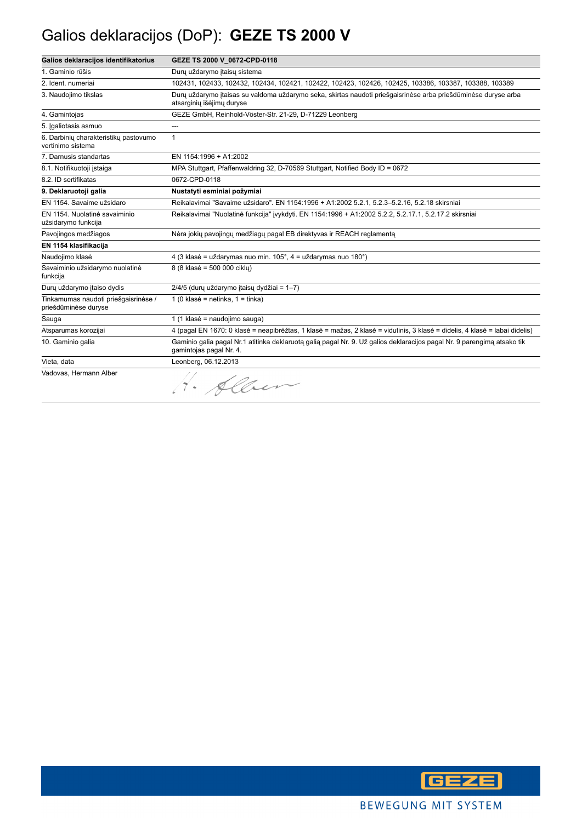### Galios deklaracijos (DoP): **GEZE TS 2000 V**

| Galios deklaracijos identifikatorius                         | GEZE TS 2000 V 0672-CPD-0118                                                                                                                       |
|--------------------------------------------------------------|----------------------------------------------------------------------------------------------------------------------------------------------------|
| 1. Gaminio rūšis                                             | Durų uždarymo itaisų sistema                                                                                                                       |
| 2. Ident. numeriai                                           | 102431, 102433, 102432, 102434, 102421, 102422, 102423, 102426, 102425, 103386, 103387, 103388, 103389                                             |
| 3. Naudojimo tikslas                                         | Durų uždarymo įtaisas su valdoma uždarymo seka, skirtas naudoti priešgaisrinėse arba priešdūminėse duryse arba<br>atsarginių išėjimų duryse        |
| 4. Gamintojas                                                | GEZE GmbH, Reinhold-Vöster-Str. 21-29, D-71229 Leonberg                                                                                            |
| 5. Igaliotasis asmuo                                         | ---                                                                                                                                                |
| 6. Darbinių charakteristikų pastovumo<br>vertinimo sistema   | $\mathbf{1}$                                                                                                                                       |
| 7. Darnusis standartas                                       | EN 1154:1996 + A1:2002                                                                                                                             |
| 8.1. Notifikuotoji istaiga                                   | MPA Stuttgart, Pfaffenwaldring 32, D-70569 Stuttgart, Notified Body ID = 0672                                                                      |
| 8.2. ID sertifikatas                                         | 0672-CPD-0118                                                                                                                                      |
| 9. Deklaruotoji galia                                        | Nustatyti esminiai požymiai                                                                                                                        |
| EN 1154. Savaime užsidaro                                    | Reikalavimai "Savaime užsidaro". EN 1154:1996 + A1:2002 5.2.1, 5.2.3-5.2.16, 5.2.18 skirsniai                                                      |
| EN 1154. Nuolatinė savaiminio<br>užsidarymo funkcija         | Reikalavimai "Nuolatinė funkcija" įvykdyti. EN 1154:1996 + A1:2002 5.2.2, 5.2.17.1, 5.2.17.2 skirsniai                                             |
| Pavojingos medžiagos                                         | Nėra jokių pavojingų medžiagų pagal EB direktyvas ir REACH reglamenta                                                                              |
| EN 1154 klasifikacija                                        |                                                                                                                                                    |
| Naudojimo klasė                                              | 4 (3 klasė = uždarymas nuo min. 105°, 4 = uždarymas nuo 180°)                                                                                      |
| Savaiminio užsidarymo nuolatinė<br>funkcija                  | 8 (8 klasė = 500 000 ciklu)                                                                                                                        |
| Durų uždarymo įtaiso dydis                                   | 2/4/5 (durų uždarymo įtaisų dydžiai = 1-7)                                                                                                         |
| Tinkamumas naudoti priešgaisrinėse /<br>priešdūminėse duryse | 1 (0 klasė = netinka, $1 =$ tinka)                                                                                                                 |
| Sauga                                                        | 1 (1 klasė = naudojimo sauga)                                                                                                                      |
| Atsparumas korozijai                                         | 4 (pagal EN 1670: 0 klasė = neapibrėžtas, 1 klasė = mažas, 2 klasė = vidutinis, 3 klasė = didelis, 4 klasė = labai didelis)                        |
| 10. Gaminio galia                                            | Gaminio galia pagal Nr.1 atitinka deklaruota galia pagal Nr. 9. Už galios deklaracijos pagal Nr. 9 parengimą atsako tik<br>gamintojas pagal Nr. 4. |
| Vieta, data                                                  | Leonberg, 06.12.2013                                                                                                                               |
| Vadovas, Hermann Alber                                       | · Alber                                                                                                                                            |

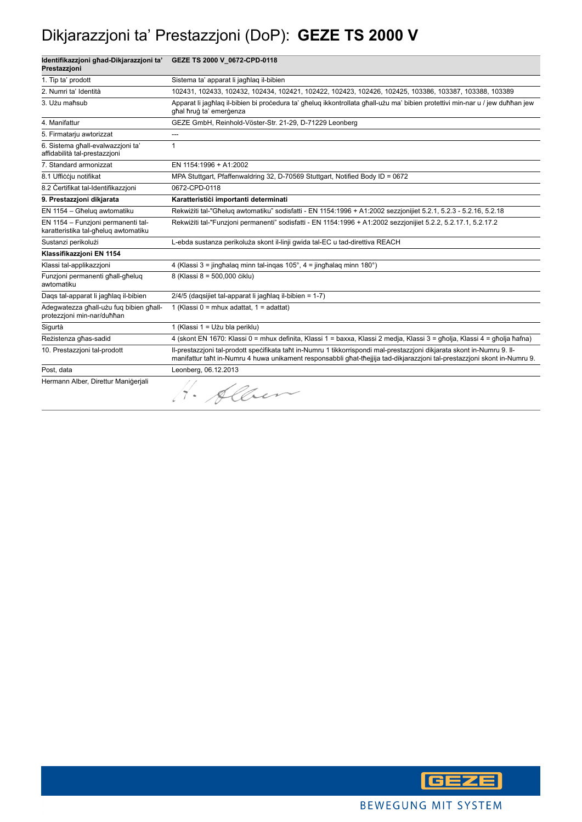### Dikjarazzjoni ta' Prestazzjoni (DoP): **GEZE TS 2000 V**

| Identifikazzjoni ghad-Dikjarazzjoni ta'<br>Prestazzjoni                    | GEZE TS 2000 V_0672-CPD-0118                                                                                                                                                                                                                         |
|----------------------------------------------------------------------------|------------------------------------------------------------------------------------------------------------------------------------------------------------------------------------------------------------------------------------------------------|
| 1. Tip ta' prodott                                                         | Sistema ta' apparat li jagħlag il-bibien                                                                                                                                                                                                             |
| 2. Numri ta' Identità                                                      | 102431, 102433, 102432, 102434, 102421, 102422, 102423, 102426, 102425, 103386, 103387, 103388, 103389                                                                                                                                               |
| 3. Użu maħsub                                                              | Apparat li jagħlaq il-bibien bi procedura ta' għeluq ikkontrollata għall-użu ma' bibien protettivi min-nar u / jew duħħan jew<br>ghal hrug ta' emergenza                                                                                             |
| 4. Manifattur                                                              | GEZE GmbH, Reinhold-Vöster-Str. 21-29, D-71229 Leonberg                                                                                                                                                                                              |
| 5. Firmatarju awtorizzat                                                   | ---                                                                                                                                                                                                                                                  |
| 6. Sistema għall-evalwazzjoni ta'<br>affidabilità tal-prestazzioni         | 1                                                                                                                                                                                                                                                    |
| 7. Standard armonizzat                                                     | EN 1154:1996 + A1:2002                                                                                                                                                                                                                               |
| 8.1 Ufficcju notifikat                                                     | MPA Stuttgart, Pfaffenwaldring 32, D-70569 Stuttgart, Notified Body ID = 0672                                                                                                                                                                        |
| 8.2 Certifikat tal-Identifikazzioni                                        | 0672-CPD-0118                                                                                                                                                                                                                                        |
| 9. Prestazzjoni dikjarata                                                  | Karatteristići importanti determinati                                                                                                                                                                                                                |
| EN 1154 - Għelug awtomatiku                                                | Rekwiżiti tal-"Għeluq awtomatiku" sodisfatti - EN 1154:1996 + A1:2002 sezzjonijiet 5.2.1, 5.2.3 - 5.2.16, 5.2.18                                                                                                                                     |
| EN 1154 - Funzioni permanenti tal-<br>karatteristika tal-għeluq awtomatiku | Rekwiżiti tal-"Funzjoni permanenti" sodisfatti - EN 1154:1996 + A1:2002 sezzjonijiet 5.2.2, 5.2.17.1, 5.2.17.2                                                                                                                                       |
| Sustanzi perikolużi                                                        | L-ebda sustanza perikoluża skont il-linji gwida tal-EC u tad-direttiva REACH                                                                                                                                                                         |
| Klassifikazzioni EN 1154                                                   |                                                                                                                                                                                                                                                      |
| Klassi tal-applikazzjoni                                                   | 4 (Klassi 3 = jinghalag minn tal-ingas 105°, 4 = jinghalag minn 180°)                                                                                                                                                                                |
| Funzjoni permanenti ghall-gheluq<br>awtomatiku                             | 8 (Klassi 8 = 500,000 ciklu)                                                                                                                                                                                                                         |
| Dags tal-apparat li jagħlag il-bibien                                      | 2/4/5 (dagsijiet tal-apparat li jagħlag il-bibien = 1-7)                                                                                                                                                                                             |
| Adegwatezza għall-użu fuq bibien għall-<br>protezzjoni min-nar/duħħan      | 1 (Klassi 0 = mhux adattat, $1 =$ adattat)                                                                                                                                                                                                           |
| Sigurtà                                                                    | 1 (Klassi 1 = Użu bla periklu)                                                                                                                                                                                                                       |
| Rezistenza għas-sadid                                                      | 4 (skont EN 1670: Klassi 0 = mhux definita, Klassi 1 = baxxa, Klassi 2 medja, Klassi 3 = għolja, Klassi 4 = għolja ħafna)                                                                                                                            |
| 10. Prestazzjoni tal-prodott                                               | II-prestazzjoni tal-prodott spečifikata taht in-Numru 1 tikkorrispondi mal-prestazzjoni dikjarata skont in-Numru 9. II-<br>manifattur taht in-Numru 4 huwa unikament responsabbli ghat-thejjija tad-dikjarazzjoni tal-prestazzjoni skont in-Numru 9. |
| Post, data                                                                 | Leonberg, 06.12.2013                                                                                                                                                                                                                                 |
| Hermann Alber, Direttur Manigerjali                                        | H. Alben                                                                                                                                                                                                                                             |

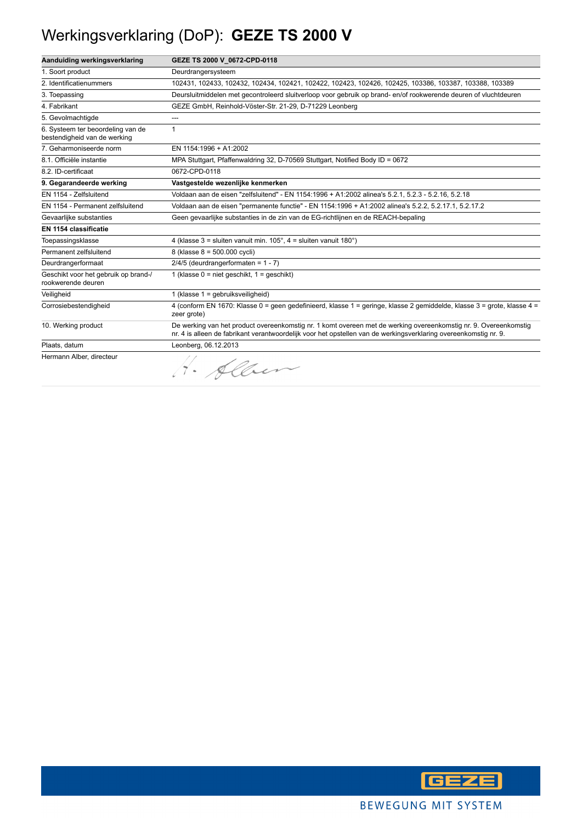## Werkingsverklaring (DoP): **GEZE TS 2000 V**

| Aanduiding werkingsverklaring                                     | GEZE TS 2000 V_0672-CPD-0118                                                                                                                                                                                                         |
|-------------------------------------------------------------------|--------------------------------------------------------------------------------------------------------------------------------------------------------------------------------------------------------------------------------------|
| 1. Soort product                                                  | Deurdrangersysteem                                                                                                                                                                                                                   |
| 2. Identificatienummers                                           | 102431, 102433, 102432, 102434, 102421, 102422, 102423, 102426, 102425, 103386, 103387, 103388, 103389                                                                                                                               |
| 3. Toepassing                                                     | Deursluitmiddelen met gecontroleerd sluitverloop voor gebruik op brand- en/of rookwerende deuren of vluchtdeuren                                                                                                                     |
| 4. Fabrikant                                                      | GEZE GmbH, Reinhold-Vöster-Str. 21-29, D-71229 Leonberg                                                                                                                                                                              |
| 5. Gevolmachtigde                                                 | $---$                                                                                                                                                                                                                                |
| 6. Systeem ter beoordeling van de<br>bestendigheid van de werking | 1                                                                                                                                                                                                                                    |
| 7. Geharmoniseerde norm                                           | EN 1154:1996 + A1:2002                                                                                                                                                                                                               |
| 8.1. Officiële instantie                                          | MPA Stuttgart, Pfaffenwaldring 32, D-70569 Stuttgart, Notified Body ID = 0672                                                                                                                                                        |
| 8.2. ID-certificaat                                               | 0672-CPD-0118                                                                                                                                                                                                                        |
| 9. Gegarandeerde werking                                          | Vastgestelde wezenlijke kenmerken                                                                                                                                                                                                    |
| EN 1154 - Zelfsluitend                                            | Voldaan aan de eisen "zelfsluitend" - EN 1154:1996 + A1:2002 alinea's 5.2.1, 5.2.3 - 5.2.16, 5.2.18                                                                                                                                  |
| EN 1154 - Permanent zelfsluitend                                  | Voldaan aan de eisen "permanente functie" - EN 1154:1996 + A1:2002 alinea's 5.2.2, 5.2.17.1, 5.2.17.2                                                                                                                                |
| Gevaarlijke substanties                                           | Geen gevaarlijke substanties in de zin van de EG-richtlijnen en de REACH-bepaling                                                                                                                                                    |
| EN 1154 classificatie                                             |                                                                                                                                                                                                                                      |
| Toepassingsklasse                                                 | 4 (klasse $3 =$ sluiten vanuit min. $105^\circ$ , $4 =$ sluiten vanuit $180^\circ$ )                                                                                                                                                 |
| Permanent zelfsluitend                                            | 8 (klasse 8 = 500.000 cycli)                                                                                                                                                                                                         |
| Deurdrangerformaat                                                | $2/4/5$ (deurdrangerformaten = 1 - 7)                                                                                                                                                                                                |
| Geschikt voor het gebruik op brand-/<br>rookwerende deuren        | 1 (klasse $0 =$ niet geschikt, $1 =$ geschikt)                                                                                                                                                                                       |
| Veiligheid                                                        | 1 (klasse 1 = gebruiksveiligheid)                                                                                                                                                                                                    |
| Corrosiebestendigheid                                             | 4 (conform EN 1670: Klasse 0 = geen gedefinieerd, klasse 1 = geringe, klasse 2 gemiddelde, klasse 3 = grote, klasse 4 =<br>zeer grote)                                                                                               |
| 10. Werking product                                               | De werking van het product overeenkomstig nr. 1 komt overeen met de werking overeenkomstig nr. 9. Overeenkomstig<br>nr. 4 is alleen de fabrikant verantwoordelijk voor het opstellen van de werkingsverklaring overeenkomstig nr. 9. |
| Plaats, datum                                                     | Leonberg, 06.12.2013                                                                                                                                                                                                                 |
| Hermann Alber, directeur                                          | 1. Alber                                                                                                                                                                                                                             |

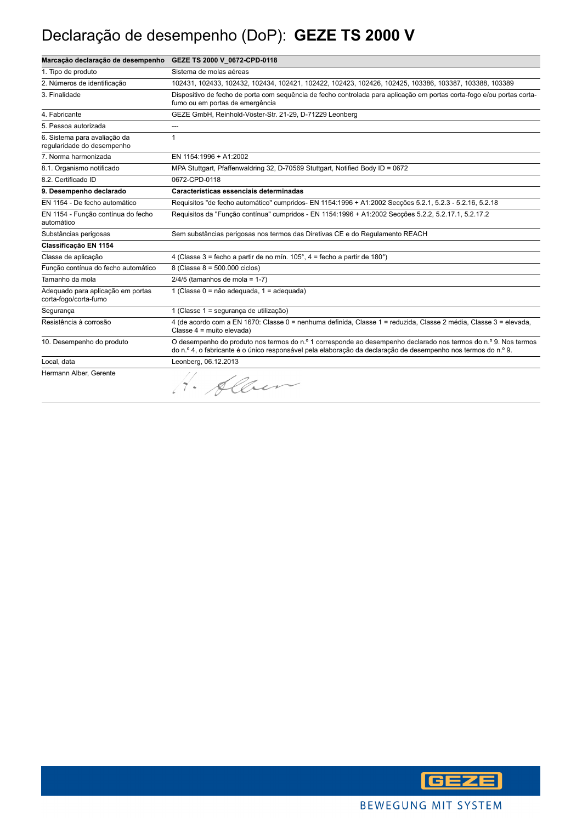### Declaração de desempenho (DoP): **GEZE TS 2000 V**

| Marcação declaração de desempenho                          | GEZE TS 2000 V_0672-CPD-0118                                                                                                                                                                                                     |
|------------------------------------------------------------|----------------------------------------------------------------------------------------------------------------------------------------------------------------------------------------------------------------------------------|
| 1. Tipo de produto                                         | Sistema de molas aéreas                                                                                                                                                                                                          |
| 2. Números de identificação                                | 102431, 102433, 102432, 102434, 102421, 102422, 102423, 102426, 102425, 103386, 103387, 103388, 103389                                                                                                                           |
| 3. Finalidade                                              | Dispositivo de fecho de porta com sequência de fecho controlada para aplicação em portas corta-fogo e/ou portas corta-<br>fumo ou em portas de emergência                                                                        |
| 4. Fabricante                                              | GEZE GmbH, Reinhold-Vöster-Str. 21-29, D-71229 Leonberg                                                                                                                                                                          |
| 5. Pessoa autorizada                                       | ---                                                                                                                                                                                                                              |
| 6. Sistema para avaliação da<br>regularidade do desempenho | 1                                                                                                                                                                                                                                |
| 7. Norma harmonizada                                       | EN 1154:1996 + A1:2002                                                                                                                                                                                                           |
| 8.1. Organismo notificado                                  | MPA Stuttgart, Pfaffenwaldring 32, D-70569 Stuttgart, Notified Body ID = 0672                                                                                                                                                    |
| 8.2. Certificado ID                                        | 0672-CPD-0118                                                                                                                                                                                                                    |
| 9. Desempenho declarado                                    | Características essenciais determinadas                                                                                                                                                                                          |
| EN 1154 - De fecho automático                              | Requisitos "de fecho automático" cumpridos- EN 1154:1996 + A1:2002 Secções 5.2.1, 5.2.3 - 5.2.16, 5.2.18                                                                                                                         |
| EN 1154 - Função contínua do fecho<br>automático           | Requisitos da "Função contínua" cumpridos - EN 1154:1996 + A1:2002 Secções 5.2.2, 5.2.17.1, 5.2.17.2                                                                                                                             |
| Substâncias perigosas                                      | Sem substâncias perigosas nos termos das Diretivas CE e do Regulamento REACH                                                                                                                                                     |
| Classificação EN 1154                                      |                                                                                                                                                                                                                                  |
| Classe de aplicação                                        | 4 (Classe 3 = fecho a partir de no mín. $105^\circ$ , 4 = fecho a partir de 180 $^\circ$ )                                                                                                                                       |
| Função contínua do fecho automático                        | 8 (Classe 8 = 500.000 ciclos)                                                                                                                                                                                                    |
| Tamanho da mola                                            | $2/4/5$ (tamanhos de mola = 1-7)                                                                                                                                                                                                 |
| Adequado para aplicação em portas<br>corta-fogo/corta-fumo | 1 (Classe 0 = não adequada, 1 = adequada)                                                                                                                                                                                        |
| Segurança                                                  | 1 (Classe 1 = segurança de utilização)                                                                                                                                                                                           |
| Resistência à corrosão                                     | 4 (de acordo com a EN 1670: Classe 0 = nenhuma definida, Classe 1 = reduzida, Classe 2 média, Classe 3 = elevada,<br>Classe 4 = muito elevada)                                                                                   |
| 10. Desempenho do produto                                  | O desempenho do produto nos termos do n.º 1 corresponde ao desempenho declarado nos termos do n.º 9. Nos termos<br>do n.º 4, o fabricante é o único responsável pela elaboração da declaração de desempenho nos termos do n.º 9. |
| Local. data                                                | Leonberg, 06.12.2013                                                                                                                                                                                                             |
| Hermann Alber, Gerente                                     | 1. Alber                                                                                                                                                                                                                         |

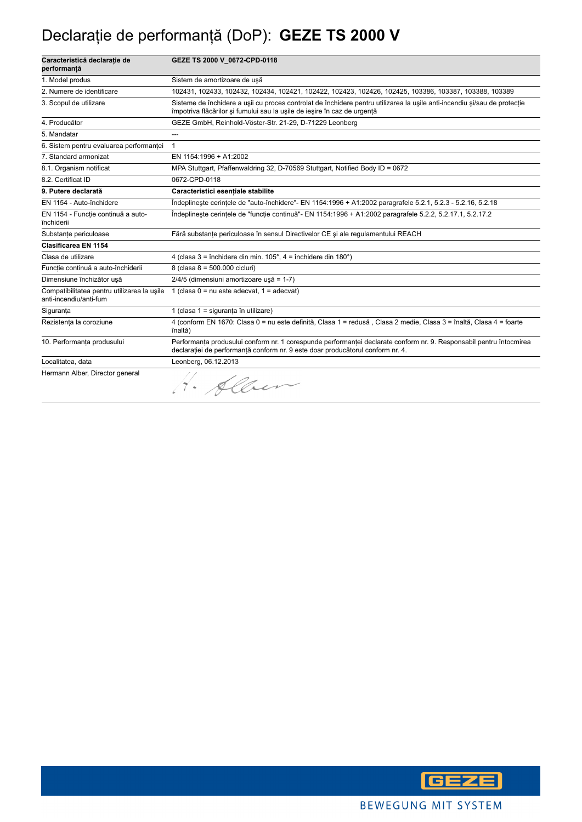## Declaraţie de performanţă (DoP): **GEZE TS 2000 V**

| Caracteristică declaratie de<br>performanță                           | GEZE TS 2000 V 0672-CPD-0118                                                                                                                                                                          |
|-----------------------------------------------------------------------|-------------------------------------------------------------------------------------------------------------------------------------------------------------------------------------------------------|
| 1. Model produs                                                       | Sistem de amortizoare de uşă                                                                                                                                                                          |
| 2. Numere de identificare                                             | 102431, 102433, 102432, 102434, 102421, 102422, 102423, 102426, 102425, 103386, 103387, 103388, 103389                                                                                                |
| 3. Scopul de utilizare                                                | Sisteme de închidere a usii cu proces controlat de închidere pentru utilizarea la ușile anti-incendiu și/sau de protecție<br>împotriva flăcărilor și fumului sau la ușile de ieșire în caz de urgentă |
| 4. Producător                                                         | GEZE GmbH, Reinhold-Vöster-Str. 21-29, D-71229 Leonberg                                                                                                                                               |
| 5. Mandatar                                                           |                                                                                                                                                                                                       |
| 6. Sistem pentru evaluarea performanței                               | $\mathbf{1}$                                                                                                                                                                                          |
| 7. Standard armonizat                                                 | EN 1154:1996 + A1:2002                                                                                                                                                                                |
| 8.1. Organism notificat                                               | MPA Stuttgart, Pfaffenwaldring 32, D-70569 Stuttgart, Notified Body ID = 0672                                                                                                                         |
| 8.2. Certificat ID                                                    | 0672-CPD-0118                                                                                                                                                                                         |
| 9. Putere declarată                                                   | Caracteristici esentiale stabilite                                                                                                                                                                    |
| EN 1154 - Auto-închidere                                              | Îndeplinește cerințele de "auto-închidere"- EN 1154:1996 + A1:2002 paragrafele 5.2.1, 5.2.3 - 5.2.16, 5.2.18                                                                                          |
| EN 1154 - Funcție continuă a auto-<br>închiderii                      | Îndeplinește cerințele de "funcție continuă"- EN 1154:1996 + A1:2002 paragrafele 5.2.2, 5.2.17.1, 5.2.17.2                                                                                            |
| Substanțe periculoase                                                 | Fără substanțe periculoase în sensul Directivelor CE și ale regulamentului REACH                                                                                                                      |
| <b>Clasificarea EN 1154</b>                                           |                                                                                                                                                                                                       |
| Clasa de utilizare                                                    | 4 (clasa 3 = închidere din min. 105°, 4 = închidere din 180°)                                                                                                                                         |
| Funcție continuă a auto-închiderii                                    | 8 (clasa 8 = 500.000 cicluri)                                                                                                                                                                         |
| Dimensiune închizător usă                                             | 2/4/5 (dimensiuni amortizoare usă = 1-7)                                                                                                                                                              |
| Compatibilitatea pentru utilizarea la usile<br>anti-incendiu/anti-fum | 1 (clasa $0 = nu$ este adecvat, $1 = adecvat$ )                                                                                                                                                       |
| Siguranta                                                             | 1 (clasa 1 = siguranta în utilizare)                                                                                                                                                                  |
| Rezistența la coroziune                                               | 4 (conform EN 1670: Clasa 0 = nu este definită, Clasa 1 = redusă, Clasa 2 medie, Clasa 3 = înaltă, Clasa 4 = foarte<br>înaltă)                                                                        |
| 10. Performanța produsului                                            | Performanța produsului conform nr. 1 corespunde performanței declarate conform nr. 9. Responsabil pentru întocmirea<br>declarației de performanță conform nr. 9 este doar producătorul conform nr. 4. |
| Localitatea, data                                                     | Leonberg, 06.12.2013                                                                                                                                                                                  |
| Hermann Alber, Director general                                       | 1. Alber                                                                                                                                                                                              |

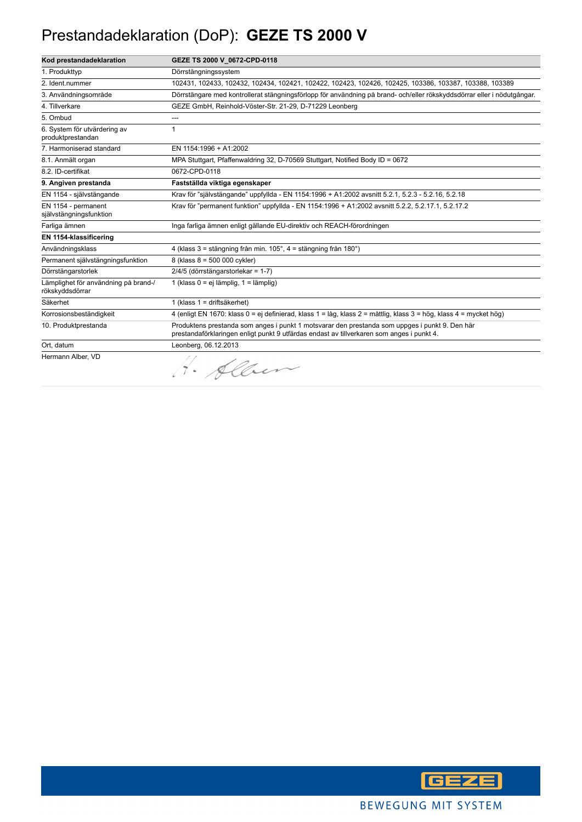## Prestandadeklaration (DoP): **GEZE TS 2000 V**

| Kod prestandadeklaration                                | GEZE TS 2000 V 0672-CPD-0118                                                                                                                                                                |
|---------------------------------------------------------|---------------------------------------------------------------------------------------------------------------------------------------------------------------------------------------------|
| 1. Produkttyp                                           | Dörrstängningssystem                                                                                                                                                                        |
| 2. Ident.nummer                                         | 102431, 102433, 102432, 102434, 102421, 102422, 102423, 102426, 102425, 103386, 103387, 103388, 103389                                                                                      |
| 3. Användningsområde                                    | Dörrstängare med kontrollerat stängningsförlopp för användning på brand- och/eller rökskyddsdörrar eller i nödutgångar.                                                                     |
| 4. Tillverkare                                          | GEZE GmbH, Reinhold-Vöster-Str. 21-29, D-71229 Leonberg                                                                                                                                     |
| 5. Ombud                                                | ---                                                                                                                                                                                         |
| 6. System för utvärdering av<br>produktprestandan       | 1                                                                                                                                                                                           |
| 7. Harmoniserad standard                                | EN 1154:1996 + A1:2002                                                                                                                                                                      |
| 8.1. Anmält organ                                       | MPA Stuttgart, Pfaffenwaldring 32, D-70569 Stuttgart, Notified Body ID = 0672                                                                                                               |
| 8.2. ID-certifikat                                      | 0672-CPD-0118                                                                                                                                                                               |
| 9. Angiven prestanda                                    | Fastställda viktiga egenskaper                                                                                                                                                              |
| EN 1154 - självstängande                                | Krav för "självstängande" uppfyllda - EN 1154:1996 + A1:2002 avsnitt 5.2.1, 5.2.3 - 5.2.16, 5.2.18                                                                                          |
| EN 1154 - permanent<br>självstängningsfunktion          | Krav för "permanent funktion" uppfyllda - EN 1154:1996 + A1:2002 avsnitt 5.2.2, 5.2.17.1, 5.2.17.2                                                                                          |
| Farliga ämnen                                           | Inga farliga ämnen enligt gällande EU-direktiv och REACH-förordningen                                                                                                                       |
| EN 1154-klassificering                                  |                                                                                                                                                                                             |
| Användningsklass                                        | 4 (klass 3 = stängning från min. 105°, 4 = stängning från 180°)                                                                                                                             |
| Permanent självstängningsfunktion                       | 8 (klass 8 = 500 000 cykler)                                                                                                                                                                |
| Dörrstängarstorlek                                      | 2/4/5 (dörrstängarstorlekar = 1-7)                                                                                                                                                          |
| Lämplighet för användning på brand-/<br>rökskyddsdörrar | 1 (klass $0 = ei$ lämplig, $1 =$ lämplig)                                                                                                                                                   |
| Säkerhet                                                | 1 (klass 1 = driftsäkerhet)                                                                                                                                                                 |
| Korrosionsbeständigkeit                                 | 4 (enligt EN 1670: klass 0 = ej definierad, klass 1 = låg, klass 2 = måttlig, klass 3 = hög, klass 4 = mycket hög)                                                                          |
| 10. Produktprestanda                                    | Produktens prestanda som anges i punkt 1 motsvarar den prestanda som uppges i punkt 9. Den här<br>prestandaförklaringen enligt punkt 9 utfärdas endast av tillverkaren som anges i punkt 4. |
| Ort, datum                                              | Leonberg, 06.12.2013                                                                                                                                                                        |
| Hermann Alber, VD                                       | 1. Alben                                                                                                                                                                                    |

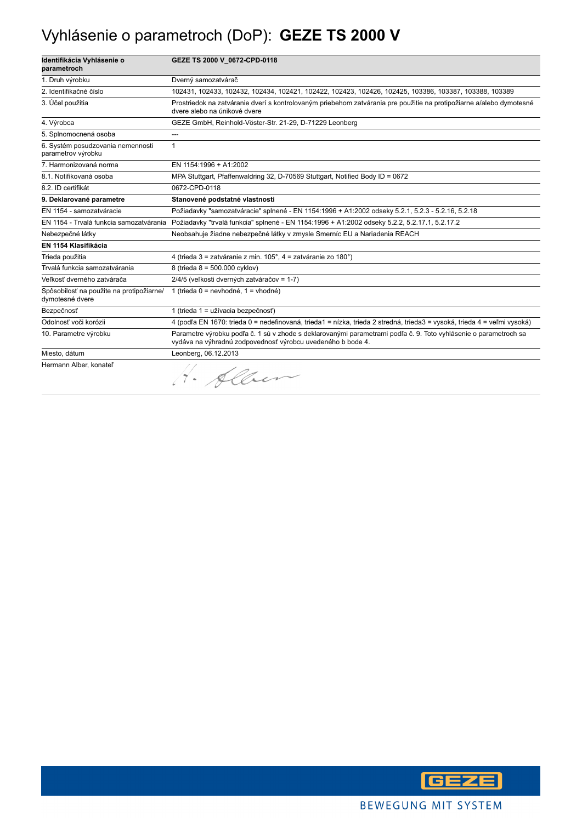### Vyhlásenie o parametroch (DoP): **GEZE TS 2000 V**

| Identifikácia Vyhlásenie o<br>parametroch                   | GEZE TS 2000 V_0672-CPD-0118                                                                                                                                                    |
|-------------------------------------------------------------|---------------------------------------------------------------------------------------------------------------------------------------------------------------------------------|
| 1. Druh výrobku                                             | Dverný samozatvárač                                                                                                                                                             |
| 2. Identifikačné číslo                                      | 102431, 102433, 102432, 102434, 102421, 102422, 102423, 102426, 102425, 103386, 103387, 103388, 103389                                                                          |
| 3. Účel použitia                                            | Prostriedok na zatváranie dverí s kontrolovaným priebehom zatvárania pre použitie na protipožiarne a/alebo dymotesné<br>dvere alebo na únikové dvere                            |
| 4. Výrobca                                                  | GEZE GmbH, Reinhold-Vöster-Str. 21-29, D-71229 Leonberg                                                                                                                         |
| 5. Splnomocnená osoba                                       | ---                                                                                                                                                                             |
| 6. Systém posudzovania nemennosti<br>parametrov výrobku     | 1                                                                                                                                                                               |
| 7. Harmonizovaná norma                                      | EN 1154:1996 + A1:2002                                                                                                                                                          |
| 8.1. Notifikovaná osoba                                     | MPA Stuttgart, Pfaffenwaldring 32, D-70569 Stuttgart, Notified Body ID = 0672                                                                                                   |
| 8.2. ID certifikát                                          | 0672-CPD-0118                                                                                                                                                                   |
| 9. Deklarované parametre                                    | Stanovené podstatné vlastnosti                                                                                                                                                  |
| EN 1154 - samozatváracie                                    | Požiadavky "samozatváracie" splnené - EN 1154:1996 + A1:2002 odseky 5.2.1, 5.2.3 - 5.2.16, 5.2.18                                                                               |
| EN 1154 - Trvalá funkcia samozatvárania                     | Požiadavky "trvalá funkcia" splnené - EN 1154:1996 + A1:2002 odseky 5.2.2, 5.2.17.1, 5.2.17.2                                                                                   |
| Nebezpečné látky                                            | Neobsahuje žiadne nebezpečné látky v zmysle Smerníc EU a Nariadenia REACH                                                                                                       |
| EN 1154 Klasifikácia                                        |                                                                                                                                                                                 |
| Trieda použitia                                             | 4 (trieda 3 = zatváranie z min. 105°, 4 = zatváranie zo 180°)                                                                                                                   |
| Trvalá funkcia samozatvárania                               | 8 (trieda 8 = 500.000 cyklov)                                                                                                                                                   |
| Veľkosť dverného zatvárača                                  | 2/4/5 (veľkosti dverných zatváračov = 1-7)                                                                                                                                      |
| Spôsobilosť na použite na protipožiarne/<br>dymotesné dvere | 1 (trieda 0 = nevhodné, 1 = vhodné)                                                                                                                                             |
| Bezpečnosť                                                  | 1 (trieda 1 = užívacia bezpečnosť)                                                                                                                                              |
| Odolnosť voči korózii                                       | 4 (podľa EN 1670: trieda 0 = nedefinovaná, trieda1 = nízka, trieda 2 stredná, trieda3 = vysoká, trieda 4 = veľmi vysoká)                                                        |
| 10. Parametre výrobku                                       | Parametre výrobku podľa č. 1 sú v zhode s deklarovanými parametrami podľa č. 9. Toto vyhlásenie o parametroch sa<br>vydáva na výhradnú zodpovednosť výrobcu uvedeného b bode 4. |
| Miesto, dátum                                               | Leonberg, 06.12.2013                                                                                                                                                            |
| Hermann Alber, konateľ                                      | · Allen                                                                                                                                                                         |

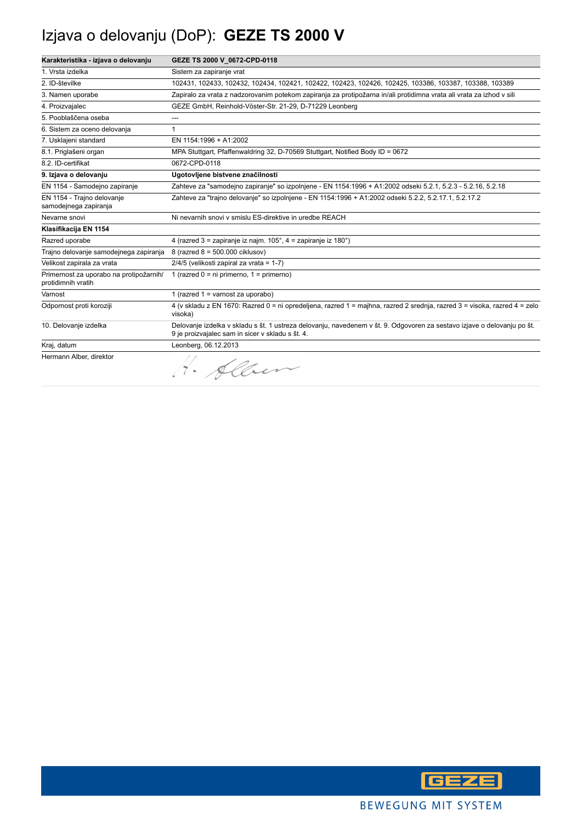## Izjava o delovanju (DoP): **GEZE TS 2000 V**

| Karakteristika - izjava o delovanju                           | GEZE TS 2000 V 0672-CPD-0118                                                                                                                                                |
|---------------------------------------------------------------|-----------------------------------------------------------------------------------------------------------------------------------------------------------------------------|
| 1. Vrsta izdelka                                              | Sistem za zapiranje vrat                                                                                                                                                    |
| 2. ID-številke                                                | 102431, 102433, 102432, 102434, 102421, 102422, 102423, 102426, 102425, 103386, 103387, 103388, 103389                                                                      |
| 3. Namen uporabe                                              | Zapiralo za vrata z nadzorovanim potekom zapiranja za protipožarna in/ali protidimna vrata ali vrata za izhod v sili                                                        |
| 4. Proizvajalec                                               | GEZE GmbH, Reinhold-Vöster-Str. 21-29, D-71229 Leonberg                                                                                                                     |
| 5. Pooblaščena oseba                                          | ---                                                                                                                                                                         |
| 6. Sistem za oceno delovanja                                  | 1                                                                                                                                                                           |
| 7. Usklajeni standard                                         | EN 1154:1996 + A1:2002                                                                                                                                                      |
| 8.1. Priglašeni organ                                         | MPA Stuttgart, Pfaffenwaldring 32, D-70569 Stuttgart, Notified Body ID = 0672                                                                                               |
| 8.2. ID-certifikat                                            | 0672-CPD-0118                                                                                                                                                               |
| 9. Izjava o delovanju                                         | Ugotovljene bistvene značilnosti                                                                                                                                            |
| EN 1154 - Samodejno zapiranje                                 | Zahteve za "samodejno zapiranje" so izpolnjene - EN 1154:1996 + A1:2002 odseki 5.2.1, 5.2.3 - 5.2.16, 5.2.18                                                                |
| EN 1154 - Trajno delovanje<br>samodejnega zapiranja           | Zahteve za "trajno delovanje" so izpolnjene - EN 1154:1996 + A1:2002 odseki 5.2.2, 5.2.17.1, 5.2.17.2                                                                       |
| Nevarne snovi                                                 | Ni nevarnih snovi v smislu ES-direktive in uredbe REACH                                                                                                                     |
| Klasifikacija EN 1154                                         |                                                                                                                                                                             |
| Razred uporabe                                                | 4 (razred 3 = zapiranje iz najm. 105°, 4 = zapiranje iz 180°)                                                                                                               |
| Trajno delovanje samodejnega zapiranja                        | 8 (razred 8 = 500.000 ciklusov)                                                                                                                                             |
| Velikost zapirala za vrata                                    | 2/4/5 (velikosti zapiral za vrata = 1-7)                                                                                                                                    |
| Primernost za uporabo na protipožarnih/<br>protidimnih vratih | 1 (razred $0 = ni$ primerno, $1 = p$ rimerno)                                                                                                                               |
| Varnost                                                       | 1 (razred $1 =$ varnost za uporabo)                                                                                                                                         |
| Odpornost proti koroziji                                      | 4 (v skladu z EN 1670: Razred 0 = ni opredeljena, razred 1 = majhna, razred 2 srednja, razred 3 = visoka, razred 4 = zelo<br>visoka)                                        |
| 10. Delovanje izdelka                                         | Delovanje izdelka v skladu s št. 1 ustreza delovanju, navedenem v št. 9. Odgovoren za sestavo izjave o delovanju po št.<br>9 je proizvajalec sam in sicer v skladu s št. 4. |
| Kraj, datum                                                   | Leonberg, 06.12.2013                                                                                                                                                        |
| Hermann Alber, direktor                                       | · Alber                                                                                                                                                                     |

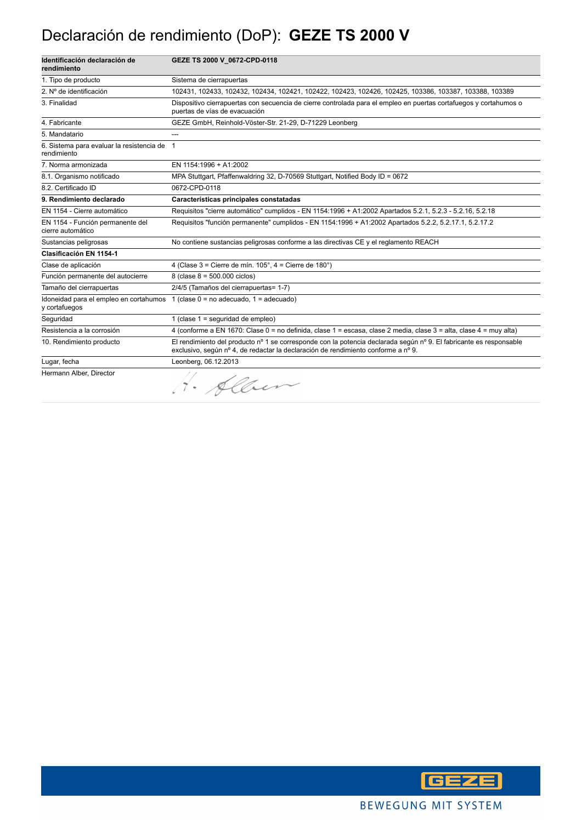#### Declaración de rendimiento (DoP): **GEZE TS 2000 V**

| Identificación declaración de<br>rendimiento               | GEZE TS 2000 V 0672-CPD-0118                                                                                                                                                                            |
|------------------------------------------------------------|---------------------------------------------------------------------------------------------------------------------------------------------------------------------------------------------------------|
| 1. Tipo de producto                                        | Sistema de cierrapuertas                                                                                                                                                                                |
| 2. Nº de identificación                                    | 102431, 102433, 102432, 102434, 102421, 102422, 102423, 102426, 102425, 103386, 103387, 103388, 103389                                                                                                  |
| 3. Finalidad                                               | Dispositivo cierrapuertas con secuencia de cierre controlada para el empleo en puertas cortafuegos y cortahumos o<br>puertas de vías de evacuación                                                      |
| 4. Fabricante                                              | GEZE GmbH, Reinhold-Vöster-Str. 21-29, D-71229 Leonberg                                                                                                                                                 |
| 5. Mandatario                                              |                                                                                                                                                                                                         |
| 6. Sistema para evaluar la resistencia de 1<br>rendimiento |                                                                                                                                                                                                         |
| 7. Norma armonizada                                        | EN 1154:1996 + A1:2002                                                                                                                                                                                  |
| 8.1. Organismo notificado                                  | MPA Stuttgart, Pfaffenwaldring 32, D-70569 Stuttgart, Notified Body ID = 0672                                                                                                                           |
| 8.2. Certificado ID                                        | 0672-CPD-0118                                                                                                                                                                                           |
| 9. Rendimiento declarado                                   | Características principales constatadas                                                                                                                                                                 |
| EN 1154 - Cierre automático                                | Requisitos "cierre automático" cumplidos - EN 1154:1996 + A1:2002 Apartados 5.2.1, 5.2.3 - 5.2.16, 5.2.18                                                                                               |
| EN 1154 - Función permanente del<br>cierre automático      | Requisitos "función permanente" cumplidos - EN 1154:1996 + A1:2002 Apartados 5.2.2, 5.2.17.1, 5.2.17.2                                                                                                  |
| Sustancias peligrosas                                      | No contiene sustancias peligrosas conforme a las directivas CE y el reglamento REACH                                                                                                                    |
| Clasificación EN 1154-1                                    |                                                                                                                                                                                                         |
| Clase de aplicación                                        | 4 (Clase $3 =$ Cierre de mín. $105^\circ$ , $4 =$ Cierre de $180^\circ$ )                                                                                                                               |
| Función permanente del autocierre                          | 8 (clase $8 = 500.000$ ciclos)                                                                                                                                                                          |
| Tamaño del cierrapuertas                                   | 2/4/5 (Tamaños del cierrapuertas= 1-7)                                                                                                                                                                  |
| Idoneidad para el empleo en cortahumos<br>y cortafuegos    | 1 (clase $0 = no$ adecuado, $1 = adecuado$ )                                                                                                                                                            |
| Sequridad                                                  | 1 (clase $1 =$ sequridad de empleo)                                                                                                                                                                     |
| Resistencia a la corrosión                                 | 4 (conforme a EN 1670: Clase 0 = no definida, clase 1 = escasa, clase 2 media, clase 3 = alta, clase 4 = muy alta)                                                                                      |
| 10. Rendimiento producto                                   | El rendimiento del producto nº 1 se corresponde con la potencia declarada según nº 9. El fabricante es responsable<br>exclusivo, según nº 4, de redactar la declaración de rendimiento conforme a nº 9. |
| Lugar, fecha                                               | Leonberg, 06.12.2013                                                                                                                                                                                    |
| Hermann Alber, Director                                    | · Alber                                                                                                                                                                                                 |

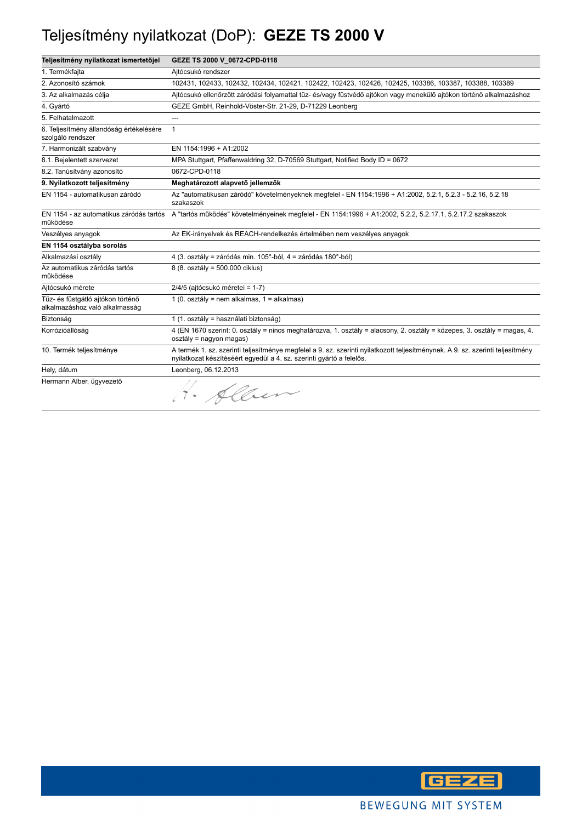### Teljesítmény nyilatkozat (DoP): **GEZE TS 2000 V**

| Teljesítmény nyilatkozat ismertetőjel                               | GEZE TS 2000 V_0672-CPD-0118                                                                                                                                                                           |
|---------------------------------------------------------------------|--------------------------------------------------------------------------------------------------------------------------------------------------------------------------------------------------------|
| 1. Termékfajta                                                      | Aitócsukó rendszer                                                                                                                                                                                     |
| 2. Azonosító számok                                                 | 102431, 102433, 102432, 102434, 102421, 102422, 102423, 102426, 102425, 103386, 103387, 103388, 103389                                                                                                 |
| 3. Az alkalmazás célja                                              | Ajtócsukó ellenőrzött záródási folyamattal tűz- és/vagy füstvédő ajtókon vagy menekülő ajtókon történő alkalmazáshoz                                                                                   |
| 4. Gyártó                                                           | GEZE GmbH, Reinhold-Vöster-Str. 21-29, D-71229 Leonberg                                                                                                                                                |
| 5. Felhatalmazott                                                   | ---                                                                                                                                                                                                    |
| 6. Teljesítmény állandóság értékelésére<br>szolgáló rendszer        | $\mathbf{1}$                                                                                                                                                                                           |
| 7. Harmonizált szabvány                                             | EN 1154:1996 + A1:2002                                                                                                                                                                                 |
| 8.1. Bejelentett szervezet                                          | MPA Stuttgart, Pfaffenwaldring 32, D-70569 Stuttgart, Notified Body ID = 0672                                                                                                                          |
| 8.2. Tanúsítvány azonosító                                          | 0672-CPD-0118                                                                                                                                                                                          |
| 9. Nyilatkozott teljesítmény                                        | Meghatározott alapvető jellemzők                                                                                                                                                                       |
| EN 1154 - automatikusan záródó                                      | Az "automatikusan záródó" követelményeknek megfelel - EN 1154:1996 + A1:2002, 5.2.1, 5.2.3 - 5.2.16, 5.2.18<br>szakaszok                                                                               |
| működése                                                            | EN 1154 - az automatikus záródás tartós A "tartós működés" követelményeinek megfelel - EN 1154:1996 + A1:2002, 5.2.2, 5.2.17.1, 5.2.17.2 szakaszok                                                     |
| Veszélyes anyagok                                                   | Az EK-irányelvek és REACH-rendelkezés értelmében nem veszélyes anyagok                                                                                                                                 |
| EN 1154 osztályba sorolás                                           |                                                                                                                                                                                                        |
| Alkalmazási osztály                                                 | 4 (3. osztály = záródás min. 105°-ból, 4 = záródás 180°-ból)                                                                                                                                           |
| Az automatikus záródás tartós<br>működése                           | 8 (8. osztály = 500.000 ciklus)                                                                                                                                                                        |
| Ajtócsukó mérete                                                    | 2/4/5 (ajtócsukó méretei = 1-7)                                                                                                                                                                        |
| Tűz- és füstgátló ajtókon történő<br>alkalmazáshoz való alkalmasság | 1 (0. osztály = nem alkalmas, 1 = alkalmas)                                                                                                                                                            |
| Biztonság                                                           | 1 (1. osztály = használati biztonság)                                                                                                                                                                  |
| Korrózióállóság                                                     | 4 (EN 1670 szerint: 0. osztály = nincs meghatározva, 1. osztály = alacsony, 2. osztály = közepes, 3. osztály = magas, 4.<br>osztály = nagyon magas)                                                    |
| 10. Termék teljesítménye                                            | A termék 1. sz. szerinti teljesítménye megfelel a 9. sz. szerinti nyilatkozott teljesítménynek. A 9. sz. szerinti teljesítmény<br>nyilatkozat készítéséért egyedül a 4. sz. szerinti gyártó a felelős. |
| Hely, dátum                                                         | Leonberg, 06.12.2013                                                                                                                                                                                   |
| Hermann Alber, ügyvezető                                            | · Alber                                                                                                                                                                                                |

**GEZE**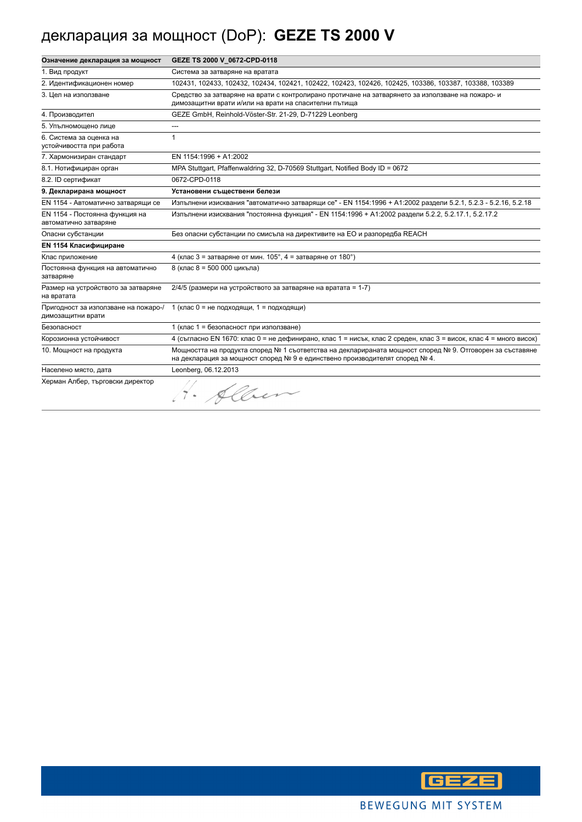# декларация за мощност (DoP): **GEZE TS 2000 V**

| Означение декларация за мощност                           | GEZE TS 2000 V 0672-CPD-0118                                                                                                                                                            |
|-----------------------------------------------------------|-----------------------------------------------------------------------------------------------------------------------------------------------------------------------------------------|
| 1. Вид продукт                                            | Система за затваряне на вратата                                                                                                                                                         |
| 2. Идентификационен номер                                 | 102431, 102433, 102432, 102434, 102421, 102422, 102423, 102426, 102425, 103386, 103387, 103388, 103389                                                                                  |
| 3. Цел на използване                                      | Средство за затваряне на врати с контролирано протичане на затварянето за използване на пожаро- и<br>димозащитни врати и/или на врати на спасителни пътища                              |
| 4. Производител                                           | GEZE GmbH, Reinhold-Vöster-Str. 21-29, D-71229 Leonberg                                                                                                                                 |
| 5. Упълномощено лице                                      | ---                                                                                                                                                                                     |
| 6. Система за оценка на<br>устойчивостта при работа       | 1                                                                                                                                                                                       |
| 7. Хармонизиран стандарт                                  | EN 1154:1996 + A1:2002                                                                                                                                                                  |
| 8.1. Нотифициран орган                                    | MPA Stuttgart, Pfaffenwaldring 32, D-70569 Stuttgart, Notified Body ID = 0672                                                                                                           |
| 8.2. ID сертификат                                        | 0672-CPD-0118                                                                                                                                                                           |
| 9. Декларирана мощност                                    | Установени съществени белези                                                                                                                                                            |
| EN 1154 - Автоматично затварящи се                        | Изпълнени изисквания "автоматично затварящи се" - EN 1154:1996 + A1:2002 раздели 5.2.1, 5.2.3 - 5.2.16, 5.2.18                                                                          |
| EN 1154 - Постоянна функция на<br>автоматично затваряне   | Изпълнени изисквания "постоянна функция" - EN 1154:1996 + A1:2002 раздели 5.2.2, 5.2.17.1, 5.2.17.2                                                                                     |
| Опасни субстанции                                         | Без опасни субстанции по смисъла на директивите на ЕО и разпоредба REACH                                                                                                                |
| <b>EN 1154 Класифициране</b>                              |                                                                                                                                                                                         |
| Клас приложение                                           | 4 (клас 3 = затваряне от мин. $105^\circ$ , 4 = затваряне от $180^\circ$ )                                                                                                              |
| Постоянна функция на автоматично<br>затваряне             | 8 (клас 8 = 500 000 цикъла)                                                                                                                                                             |
| Размер на устройството за затваряне<br>на вратата         | 2/4/5 (размери на устройството за затваряне на вратата = 1-7)                                                                                                                           |
| Пригодност за използване на пожаро-/<br>димозащитни врати | 1 (клас 0 = не подходящи, 1 = подходящи)                                                                                                                                                |
| Безопасност                                               | 1 (клас 1 = безопасност при използване)                                                                                                                                                 |
| Корозионна устойчивост                                    | 4 (съгласно EN 1670: клас 0 = не дефинирано, клас 1 = нисък, клас 2 среден, клас 3 = висок, клас 4 = много висок)                                                                       |
| 10. Мощност на продукта                                   | Мощността на продукта според № 1 съответства на декларираната мощност според № 9. Отговорен за съставяне<br>на декларация за мощност според № 9 е единствено производителят според № 4. |
| Населено място, дата                                      | Leonberg, 06.12.2013                                                                                                                                                                    |
| Херман Албер, търговски директор                          | · Alber                                                                                                                                                                                 |

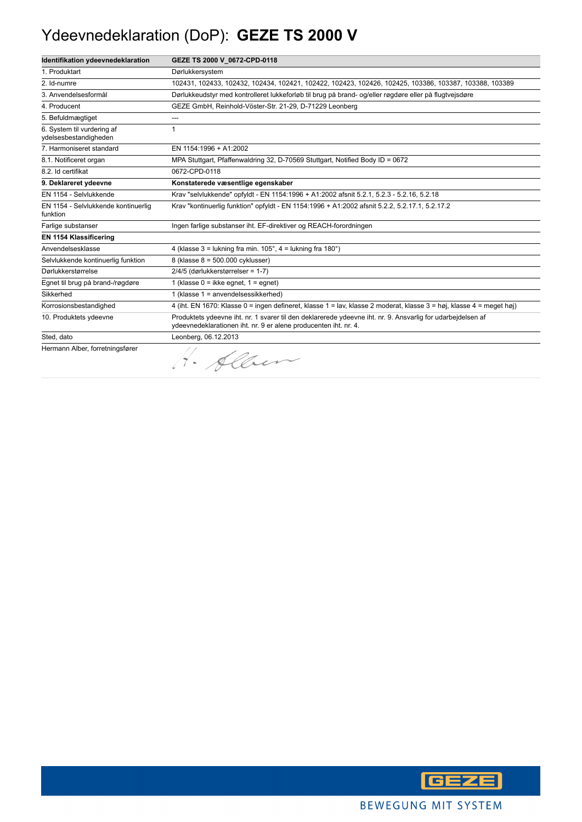### Ydeevnedeklaration (DoP): **GEZE TS 2000 V**

| Identifikation ydeevnedeklaration                   | GEZE TS 2000 V 0672-CPD-0118                                                                                                                                                    |
|-----------------------------------------------------|---------------------------------------------------------------------------------------------------------------------------------------------------------------------------------|
| 1. Produktart                                       | Dørlukkersystem                                                                                                                                                                 |
| 2. Id-numre                                         | 102431, 102433, 102432, 102434, 102421, 102422, 102423, 102426, 102425, 103386, 103387, 103388, 103389                                                                          |
| 3. Anvendelsesformål                                | Dørlukkeudstyr med kontrolleret lukkeforløb til brug på brand- og/eller røgdøre eller på flugtvejsdøre                                                                          |
| 4. Producent                                        | GEZE GmbH, Reinhold-Vöster-Str. 21-29, D-71229 Leonberg                                                                                                                         |
| 5. Befuldmægtiget                                   | $---$                                                                                                                                                                           |
| 6. System til vurdering af<br>vdelsesbestandigheden | 1                                                                                                                                                                               |
| 7. Harmoniseret standard                            | EN 1154:1996 + A1:2002                                                                                                                                                          |
| 8.1. Notificeret organ                              | MPA Stuttgart, Pfaffenwaldring 32, D-70569 Stuttgart, Notified Body ID = 0672                                                                                                   |
| 8.2. Id certifikat                                  | 0672-CPD-0118                                                                                                                                                                   |
| 9. Deklareret ydeevne                               | Konstaterede væsentlige egenskaber                                                                                                                                              |
| EN 1154 - Selvlukkende                              | Krav "selvlukkende" opfyldt - EN 1154:1996 + A1:2002 afsnit 5.2.1, 5.2.3 - 5.2.16, 5.2.18                                                                                       |
| EN 1154 - Selvlukkende kontinuerlig<br>funktion     | Krav "kontinuerlig funktion" opfyldt - EN 1154:1996 + A1:2002 afsnit 5.2.2, 5.2.17.1, 5.2.17.2                                                                                  |
| Farlige substanser                                  | Ingen farlige substanser iht. EF-direktiver og REACH-forordningen                                                                                                               |
| EN 1154 Klassificering                              |                                                                                                                                                                                 |
| Anvendelsesklasse                                   | 4 (klasse $3 =$ lukning fra min. $105^\circ$ , $4 =$ lukning fra $180^\circ$ )                                                                                                  |
| Selvlukkende kontinuerlig funktion                  | 8 (klasse 8 = 500.000 cyklusser)                                                                                                                                                |
| Dørlukkerstørrelse                                  | 2/4/5 (dørlukkerstørrelser = 1-7)                                                                                                                                               |
| Egnet til brug på brand-/røgdøre                    | 1 (klasse $0 =$ ikke eqnet, $1 =$ eqnet)                                                                                                                                        |
| Sikkerhed                                           | 1 (klasse 1 = anvendelsessikkerhed)                                                                                                                                             |
| Korrosionsbestandighed                              | 4 (iht. EN 1670: Klasse 0 = ingen defineret, klasse 1 = lav, klasse 2 moderat, klasse 3 = høj, klasse 4 = meget høj)                                                            |
| 10. Produktets ydeevne                              | Produktets ydeevne iht. nr. 1 svarer til den deklarerede ydeevne iht. nr. 9. Ansvarlig for udarbeidelsen af<br>ydeevnedeklarationen iht. nr. 9 er alene producenten iht. nr. 4. |
| Sted, dato                                          | Leonberg, 06.12.2013                                                                                                                                                            |
| Hermann Alber, forretningsfører                     | 4. Alber                                                                                                                                                                        |

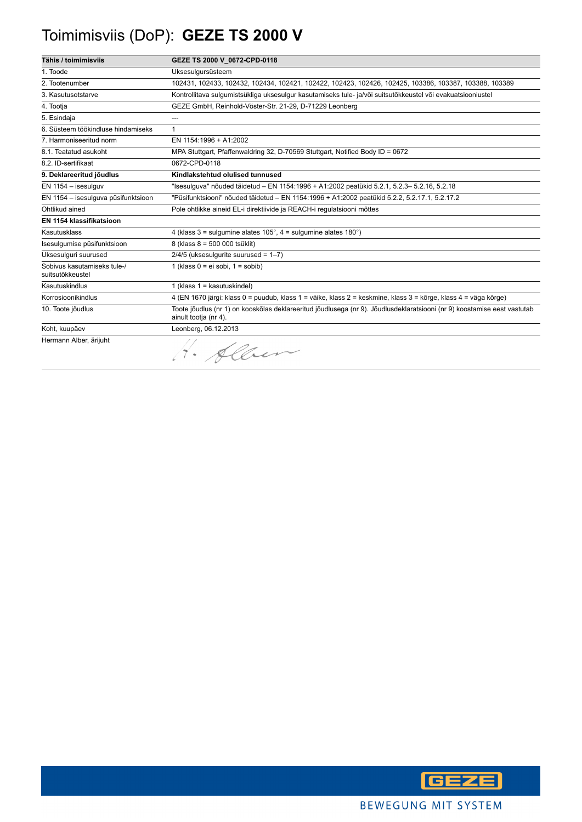# Toimimisviis (DoP): **GEZE TS 2000 V**

| Tähis / toimimisviis                            | GEZE TS 2000 V_0672-CPD-0118                                                                                                                      |
|-------------------------------------------------|---------------------------------------------------------------------------------------------------------------------------------------------------|
| 1. Toode                                        | Uksesulgursüsteem                                                                                                                                 |
| 2. Tootenumber                                  | 102431, 102433, 102432, 102434, 102421, 102422, 102423, 102426, 102425, 103386, 103387, 103388, 103389                                            |
| 3. Kasutusotstarve                              | Kontrollitava sulgumistsükliga uksesulgur kasutamiseks tule- ja/või suitsutõkkeustel või evakuatsiooniustel                                       |
| 4. Tootja                                       | GEZE GmbH, Reinhold-Vöster-Str. 21-29, D-71229 Leonberg                                                                                           |
| 5. Esindaja                                     | ---                                                                                                                                               |
| 6. Süsteem töökindluse hindamiseks              | $\mathbf{1}$                                                                                                                                      |
| 7. Harmoniseeritud norm                         | EN 1154:1996 + A1:2002                                                                                                                            |
| 8.1. Teatatud asukoht                           | MPA Stuttgart, Pfaffenwaldring 32, D-70569 Stuttgart, Notified Body ID = 0672                                                                     |
| 8.2. ID-sertifikaat                             | 0672-CPD-0118                                                                                                                                     |
| 9. Deklareeritud jõudlus                        | Kindlakstehtud olulised tunnused                                                                                                                  |
| EN 1154 - isesulguv                             | "Isesulguva" nõuded täidetud – EN 1154:1996 + A1:2002 peatükid 5.2.1, 5.2.3– 5.2.16, 5.2.18                                                       |
| EN 1154 - isesulguva püsifunktsioon             | "Püsifunktsiooni" nõuded täidetud - EN 1154:1996 + A1:2002 peatükid 5.2.2, 5.2.17.1, 5.2.17.2                                                     |
| Ohtlikud ained                                  | Pole ohtlikke aineid EL-i direktiivide ja REACH-i regulatsiooni mõttes                                                                            |
| EN 1154 klassifikatsioon                        |                                                                                                                                                   |
| Kasutusklass                                    | 4 (klass $3 =$ sulgumine alates $105^\circ$ , $4 =$ sulgumine alates $180^\circ$ )                                                                |
| Isesulgumise püsifunktsioon                     | 8 (klass 8 = 500 000 tsüklit)                                                                                                                     |
| Uksesulguri suurused                            | $2/4/5$ (uksesulgurite suurused = $1-7$ )                                                                                                         |
| Sobivus kasutamiseks tule-/<br>suitsutõkkeustel | 1 (klass $0 = ei$ sobi, $1 =$ sobib)                                                                                                              |
| Kasutuskindlus                                  | 1 (klass $1 =$ kasutuskindel)                                                                                                                     |
| Korrosioonikindlus                              | 4 (EN 1670 järgi: klass 0 = puudub, klass 1 = väike, klass 2 = keskmine, klass 3 = kõrge, klass 4 = väga kõrge)                                   |
| 10. Toote jõudlus                               | Toote jõudlus (nr 1) on kooskõlas deklareeritud jõudlusega (nr 9). Jõudlusdeklaratsiooni (nr 9) koostamise eest vastutab<br>ainult tootja (nr 4). |
| Koht, kuupäev                                   | Leonberg, 06.12.2013                                                                                                                              |
| Hermann Alber, ärijuht                          | · Alber                                                                                                                                           |

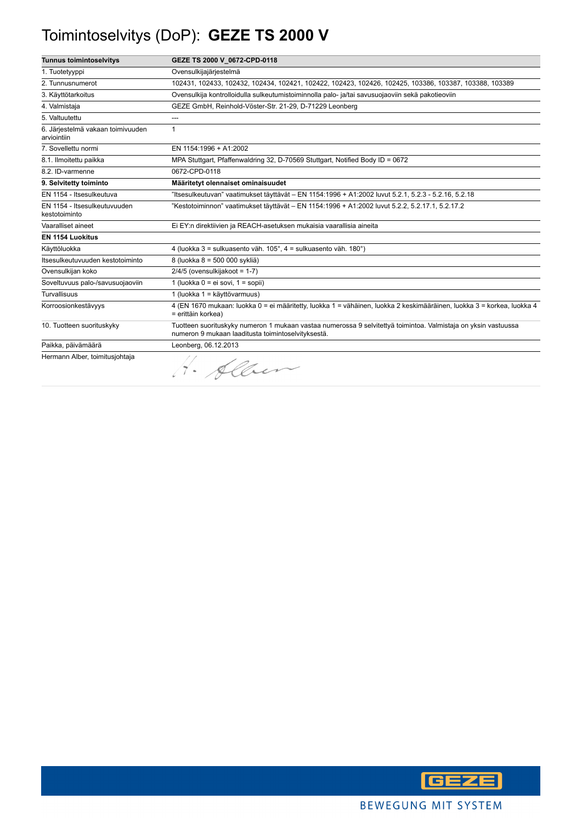## Toimintoselvitys (DoP): **GEZE TS 2000 V**

| <b>Tunnus toimintoselvitys</b>                   | GEZE TS 2000 V_0672-CPD-0118                                                                                                                                         |
|--------------------------------------------------|----------------------------------------------------------------------------------------------------------------------------------------------------------------------|
| 1. Tuotetyyppi                                   | Ovensulkijajärjestelmä                                                                                                                                               |
| 2. Tunnusnumerot                                 | 102431, 102433, 102432, 102434, 102421, 102422, 102423, 102426, 102425, 103386, 103387, 103388, 103389                                                               |
| 3. Käyttötarkoitus                               | Ovensulkija kontrolloidulla sulkeutumistoiminnolla palo- ja/tai savusuojaoviin sekä pakotieoviin                                                                     |
| 4. Valmistaja                                    | GEZE GmbH, Reinhold-Vöster-Str. 21-29, D-71229 Leonberg                                                                                                              |
| 5. Valtuutettu                                   | ---                                                                                                                                                                  |
| 6. Järjestelmä vakaan toimivuuden<br>arviointiin | $\mathbf{1}$                                                                                                                                                         |
| 7. Sovellettu normi                              | EN 1154:1996 + A1:2002                                                                                                                                               |
| 8.1. Ilmoitettu paikka                           | MPA Stuttgart, Pfaffenwaldring 32, D-70569 Stuttgart, Notified Body ID = 0672                                                                                        |
| 8.2. ID-varmenne                                 | 0672-CPD-0118                                                                                                                                                        |
| 9. Selvitetty toiminto                           | Määritetyt olennaiset ominaisuudet                                                                                                                                   |
| EN 1154 - Itsesulkeutuva                         | ltsesulkeutuvan" vaatimukset täyttävät – EN 1154:1996 + A1:2002 luvut 5.2.1, 5.2.3 - 5.2.16, 5.2.18"                                                                 |
| EN 1154 - Itsesulkeutuvuuden<br>kestotoiminto    | "Kestotoiminnon" vaatimukset täyttävät – EN 1154:1996 + A1:2002 luvut 5.2.2, 5.2.17.1, 5.2.17.2                                                                      |
| Vaaralliset aineet                               | Ei EY:n direktiivien ja REACH-asetuksen mukaisia vaarallisia aineita                                                                                                 |
| <b>EN 1154 Luokitus</b>                          |                                                                                                                                                                      |
| Käyttöluokka                                     | 4 (luokka 3 = sulkuasento väh. 105°, 4 = sulkuasento väh. 180°)                                                                                                      |
| Itsesulkeutuvuuden kestotoiminto                 | 8 (luokka 8 = 500 000 sykliä)                                                                                                                                        |
| Ovensulkijan koko                                | $2/4/5$ (ovensulkijakoot = 1-7)                                                                                                                                      |
| Soveltuvuus palo-/savusuojaoviin                 | 1 (luokka 0 = ei sovi, 1 = sopii)                                                                                                                                    |
| <b>Turvallisuus</b>                              | 1 (luokka 1 = käyttövarmuus)                                                                                                                                         |
| Korroosionkestävyys                              | 4 (EN 1670 mukaan: luokka 0 = ei määritetty, luokka 1 = vähäinen, luokka 2 keskimääräinen, luokka 3 = korkea, luokka 4<br>= erittäin korkea)                         |
| 10. Tuotteen suorituskyky                        | Tuotteen suorituskyky numeron 1 mukaan vastaa numerossa 9 selvitettyä toimintoa. Valmistaja on yksin vastuussa<br>numeron 9 mukaan laaditusta toimintoselvityksestä. |
| Paikka, päivämäärä                               | Leonberg, 06.12.2013                                                                                                                                                 |
| Hermann Alber, toimitusjohtaja                   | Sher                                                                                                                                                                 |

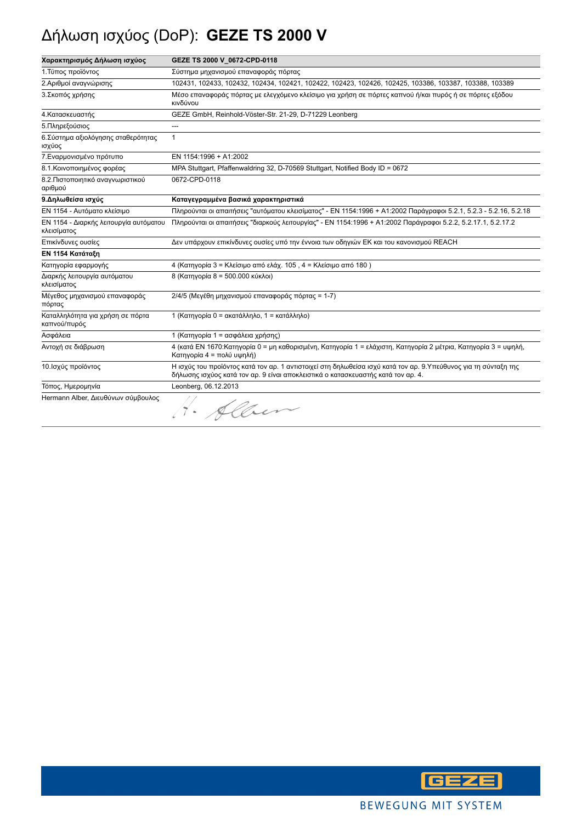## Δήλωση ισχύος (DoP): **GEZE TS 2000 V**

| Χαρακτηρισμός Δήλωση ισχύος                           | GEZE TS 2000 V_0672-CPD-0118                                                                                                                                                                        |
|-------------------------------------------------------|-----------------------------------------------------------------------------------------------------------------------------------------------------------------------------------------------------|
| 1. Τύπος προϊόντος                                    | Σύστημα μηχανισμού επαναφοράς πόρτας                                                                                                                                                                |
| 2. Αριθμοί αναγνώρισης                                | 102431, 102433, 102432, 102434, 102421, 102422, 102423, 102426, 102425, 103386, 103387, 103388, 103389                                                                                              |
| 3. Σκοπός χρήσης                                      | Μέσο επαναφοράς πόρτας με ελεγχόμενο κλείσιμο για χρήση σε πόρτες καπνού ή/και πυρός ή σε πόρτες εξόδου<br>κινδύνου                                                                                 |
| 4. Κατασκευαστής                                      | GEZE GmbH, Reinhold-Vöster-Str. 21-29, D-71229 Leonberg                                                                                                                                             |
| 5. Πληρεξούσιος                                       | $\overline{\phantom{a}}$                                                                                                                                                                            |
| 6. Σύστημα αξιολόγησης σταθερότητας<br>ισχύος         | $\mathbf{1}$                                                                                                                                                                                        |
| 7. Εναρμονισμένο πρότυπο                              | EN 1154:1996 + A1:2002                                                                                                                                                                              |
| 8.1. Κοινοποιημένος φορέας                            | MPA Stuttgart, Pfaffenwaldring 32, D-70569 Stuttgart, Notified Body ID = 0672                                                                                                                       |
| 8.2. Πιστοποιητικό αναγνωριστικού<br>αριθμού          | 0672-CPD-0118                                                                                                                                                                                       |
| 9. Δηλωθείσα ισχύς                                    | Καταγεγραμμένα βασικά χαρακτηριστικά                                                                                                                                                                |
| ΕΝ 1154 - Αυτόματο κλείσιμο                           | Πληρούνται οι απαιτήσεις "αυτόματου κλεισίματος" - ΕΝ 1154:1996 + Α1:2002 Παράγραφοι 5.2.1, 5.2.3 - 5.2.16, 5.2.18                                                                                  |
| ΕΝ 1154 - Διαρκής λειτουργία αυτόματου<br>κλεισίματος | Πληρούνται οι απαιτήσεις "διαρκούς λειτουργίας" - ΕΝ 1154:1996 + Α1:2002 Παράγραφοι 5.2.2, 5.2.17.1, 5.2.17.2                                                                                       |
| Επικίνδυνες ουσίες                                    | Δεν υπάρχουν επικίνδυνες ουσίες υπό την έννοια των οδηγιών ΕΚ και του κανονισμού REACH                                                                                                              |
| ΕΝ 1154 Κατάταξη                                      |                                                                                                                                                                                                     |
| Κατηγορία εφαρμογής                                   | 4 (Κατηγορία 3 = Κλείσιμο από ελάχ. 105, 4 = Κλείσιμο από 180)                                                                                                                                      |
| Διαρκής λειτουργία αυτόματου<br>κλεισίματος           | 8 (Κατηγορία 8 = 500.000 κύκλοι)                                                                                                                                                                    |
| Μέγεθος μηχανισμού επαναφοράς<br>πόρτας               | 2/4/5 (Μεγέθη μηχανισμού επαναφοράς πόρτας = 1-7)                                                                                                                                                   |
| Καταλληλότητα για χρήση σε πόρτα<br>καπνού/πυρός      | 1 (Κατηγορία 0 = ακατάλληλο, 1 = κατάλληλο)                                                                                                                                                         |
| Ασφάλεια                                              | 1 (Κατηγορία 1 = ασφάλεια χρήσης)                                                                                                                                                                   |
| Αντοχή σε διάβρωση                                    | 4 (κατά ΕΝ 1670:Κατηγορία 0 = μη καθορισμένη, Κατηγορία 1 = ελάχιστη, Κατηγορία 2 μέτρια, Κατηγορία 3 = υψηλή,<br>Κατηγορία 4 = πολύ υψηλή)                                                         |
| 10. Ισχύς προϊόντος                                   | Η ισχύς του προϊόντος κατά τον αρ. 1 αντιστοιχεί στη δηλωθείσα ισχύ κατά τον αρ. 9.Υπεύθυνος για τη σύνταξη της<br>δήλωσης ισχύος κατά τον αρ. 9 είναι αποκλειστικά ο κατασκευαστής κατά τον αρ. 4. |
| Τόπος, Ημερομηνία                                     | Leonberg, 06.12.2013                                                                                                                                                                                |
| Hermann Alber, Διευθύνων σύμβουλος                    | 1. Allen                                                                                                                                                                                            |

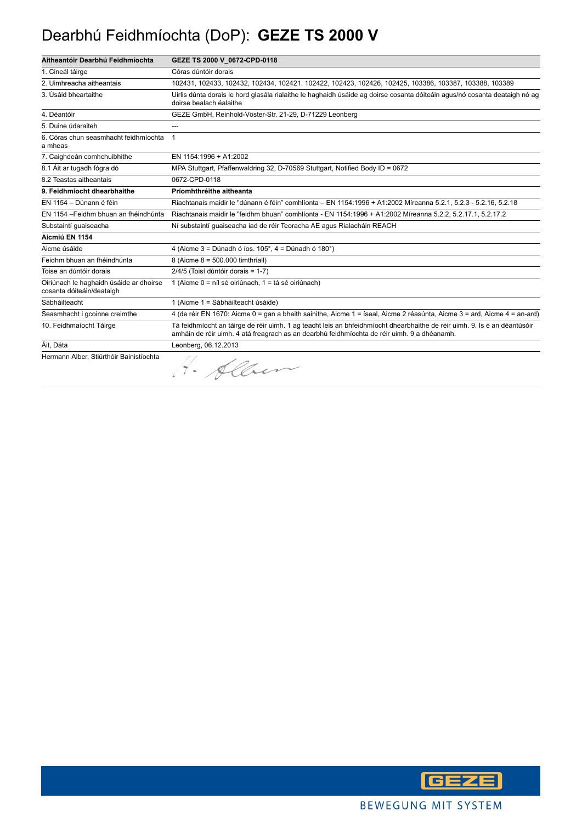## Dearbhú Feidhmíochta (DoP): **GEZE TS 2000 V**

| Aitheantóir Dearbhú Feidhmíochta                                     | GEZE TS 2000 V 0672-CPD-0118                                                                                                                                                                                             |
|----------------------------------------------------------------------|--------------------------------------------------------------------------------------------------------------------------------------------------------------------------------------------------------------------------|
| 1. Cineál táirge                                                     | Córas dúntóir dorais                                                                                                                                                                                                     |
| 2. Uimhreacha aitheantais                                            | 102431, 102433, 102432, 102434, 102421, 102422, 102423, 102426, 102425, 103386, 103387, 103388, 103389                                                                                                                   |
| 3. Úsáid bheartaithe                                                 | Uirlis dúnta dorais le hord glasála rialaithe le haghaidh úsáide ag doirse cosanta dóiteáin agus/nó cosanta deataigh nó ag<br>doirse bealach éalaithe                                                                    |
| 4. Déantóir                                                          | GEZE GmbH, Reinhold-Vöster-Str. 21-29, D-71229 Leonberg                                                                                                                                                                  |
| 5. Duine údaraiteh                                                   | ---                                                                                                                                                                                                                      |
| 6. Córas chun seasmhacht feidhmíochta<br>a mheas                     | $\mathbf{1}$                                                                                                                                                                                                             |
| 7. Caighdeán comhchuibhithe                                          | EN 1154:1996 + A1:2002                                                                                                                                                                                                   |
| 8.1 Áit ar tugadh fógra dó                                           | MPA Stuttgart, Pfaffenwaldring 32, D-70569 Stuttgart, Notified Body ID = 0672                                                                                                                                            |
| 8.2 Teastas aitheantais                                              | 0672-CPD-0118                                                                                                                                                                                                            |
| 9. Feidhmíocht dhearbhaithe                                          | Príomhthréithe aitheanta                                                                                                                                                                                                 |
| EN 1154 - Dúnann é féin                                              | Riachtanais maidir le "dúnann é féin" comhlíonta - EN 1154:1996 + A1:2002 Míreanna 5.2.1, 5.2.3 - 5.2.16, 5.2.18                                                                                                         |
| EN 1154 - Feidhm bhuan an fhéindhúnta                                | Riachtanais maidir le "feidhm bhuan" comhlíonta - EN 1154:1996 + A1:2002 Míreanna 5.2.2, 5.2.17.1, 5.2.17.2                                                                                                              |
| Substaintí quaiseacha                                                | Ní substaintí quaiseacha iad de réir Teoracha AE agus Rialacháin REACH                                                                                                                                                   |
| Aicmiú EN 1154                                                       |                                                                                                                                                                                                                          |
| Aicme úsáide                                                         | 4 (Aicme $3 =$ Dúnadh ó íos. 105°, $4 =$ Dúnadh ó 180°)                                                                                                                                                                  |
| Feidhm bhuan an fhéindhúnta                                          | 8 (Aicme 8 = 500.000 timthriall)                                                                                                                                                                                         |
| Toise an dúntóir dorais                                              | 2/4/5 (Toisí dúntóir dorais = 1-7)                                                                                                                                                                                       |
| Oiriúnach le haghaidh úsáide ar dhoirse<br>cosanta dóiteáin/deataigh | 1 (Aicme 0 = níl sé oiriúnach, 1 = tá sé oiriúnach)                                                                                                                                                                      |
| Sábháilteacht                                                        | 1 (Aicme 1 = Sábháilteacht úsáide)                                                                                                                                                                                       |
| Seasmhacht i gcoinne creimthe                                        | 4 (de réir EN 1670: Aicme 0 = gan a bheith sainithe, Aicme 1 = íseal, Aicme 2 réasúnta, Aicme 3 = ard, Aicme 4 = an-ard)                                                                                                 |
| 10. Feidhmaíocht Táirge                                              | Tá feidhmíocht an táirge de réir uimh. 1 ag teacht leis an bhfeidhmíocht dhearbhaithe de réir uimh. 9. Is é an déantúsóir<br>amháin de réir uimh. 4 atá freagrach as an dearbhú feidhmíochta de réir uimh. 9 a dhéanamh. |
| Áit, Dáta                                                            | Leonberg, 06.12.2013                                                                                                                                                                                                     |
| Hermann Alber, Stiúrthóir Bainistíochta                              | 1. Alber                                                                                                                                                                                                                 |

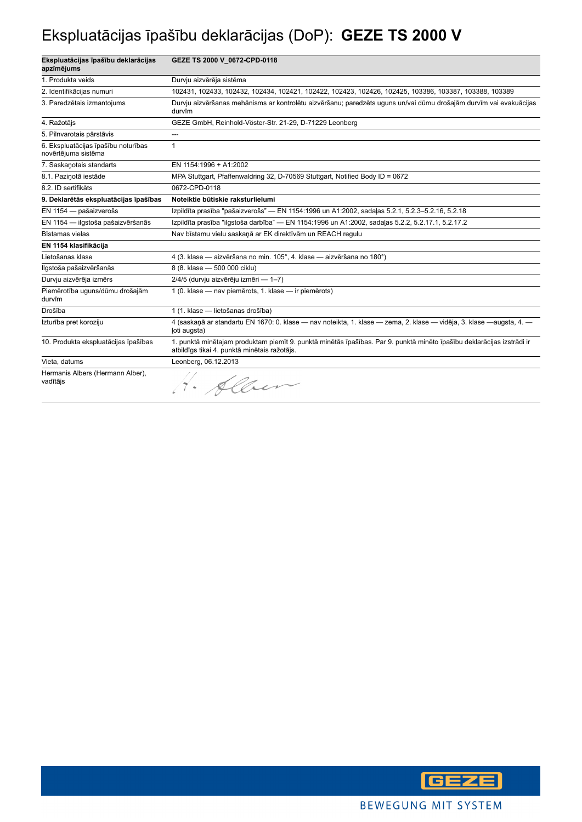### Ekspluatācijas īpašību deklarācijas (DoP): **GEZE TS 2000 V**

| Ekspluatācijas īpašību deklarācijas<br>apzīmējums          | GEZE TS 2000 V_0672-CPD-0118                                                                                                                                           |
|------------------------------------------------------------|------------------------------------------------------------------------------------------------------------------------------------------------------------------------|
| 1. Produkta veids                                          | Durvju aizvērēja sistēma                                                                                                                                               |
| 2. Identifikācijas numuri                                  | 102431, 102433, 102432, 102434, 102421, 102422, 102423, 102426, 102425, 103386, 103387, 103388, 103389                                                                 |
| 3. Paredzētais izmantojums                                 | Durvju aizvēršanas mehānisms ar kontrolētu aizvēršanu; paredzēts uguns un/vai dūmu drošajām durvīm vai evakuācijas<br>durvīm                                           |
| 4. Ražotājs                                                | GEZE GmbH, Reinhold-Vöster-Str. 21-29, D-71229 Leonberg                                                                                                                |
| 5. Pilnvarotais pārstāvis                                  | ---                                                                                                                                                                    |
| 6. Ekspluatācijas īpašību noturības<br>novērtējuma sistēma | 1                                                                                                                                                                      |
| 7. Saskanotais standarts                                   | EN 1154:1996 + A1:2002                                                                                                                                                 |
| 8.1. Pazinotā iestāde                                      | MPA Stuttgart, Pfaffenwaldring 32, D-70569 Stuttgart, Notified Body ID = 0672                                                                                          |
| 8.2. ID sertifikāts                                        | 0672-CPD-0118                                                                                                                                                          |
| 9. Deklarētās ekspluatācijas īpašības                      | Noteiktie būtiskie raksturlielumi                                                                                                                                      |
| EN 1154 - pašaizverošs                                     | Izpildīta prasība "pašaizverošs" — EN 1154:1996 un A1:2002, sadaļas 5.2.1, 5.2.3-5.2.16, 5.2.18                                                                        |
| EN 1154 - ilgstoša pašaizvēršanās                          | Izpildīta prasība "ilgstoša darbība" — EN 1154:1996 un A1:2002, sadaļas 5.2.2, 5.2.17.1, 5.2.17.2                                                                      |
| Bīstamas vielas                                            | Nav bīstamu vielu saskaņā ar EK direktīvām un REACH regulu                                                                                                             |
| EN 1154 klasifikācija                                      |                                                                                                                                                                        |
| Lietošanas klase                                           | 4 (3. klase - aizvēršana no min. 105°, 4. klase - aizvēršana no 180°)                                                                                                  |
| Ilgstoša pašaizvēršanās                                    | 8 (8. klase - 500 000 ciklu)                                                                                                                                           |
| Durvju aizvērēja izmērs                                    | 2/4/5 (durvju aizvērēju izmēri — 1-7)                                                                                                                                  |
| Piemērotība uguns/dūmu drošajām<br>durvīm                  | 1 (0. klase - nav piemērots, 1. klase - ir piemērots)                                                                                                                  |
| Drošība                                                    | 1 (1. klase - lietošanas drošība)                                                                                                                                      |
| Izturība pret koroziju                                     | 4 (saskaņā ar standartu EN 1670: 0. klase — nav noteikta, 1. klase — zema, 2. klase — vidēja, 3. klase —augsta, 4. —<br>(oti augsta)                                   |
| 10. Produkta ekspluatācijas īpašības                       | 1. punktā minētajam produktam piemīt 9. punktā minētās īpašības. Par 9. punktā minēto īpašību deklarācijas izstrādi ir<br>atbildīgs tikai 4. punktā minētais ražotājs. |
| Vieta, datums                                              | Leonberg, 06.12.2013                                                                                                                                                   |
| Hermanis Albers (Hermann Alber),<br>vadītājs               | 1. Alben                                                                                                                                                               |

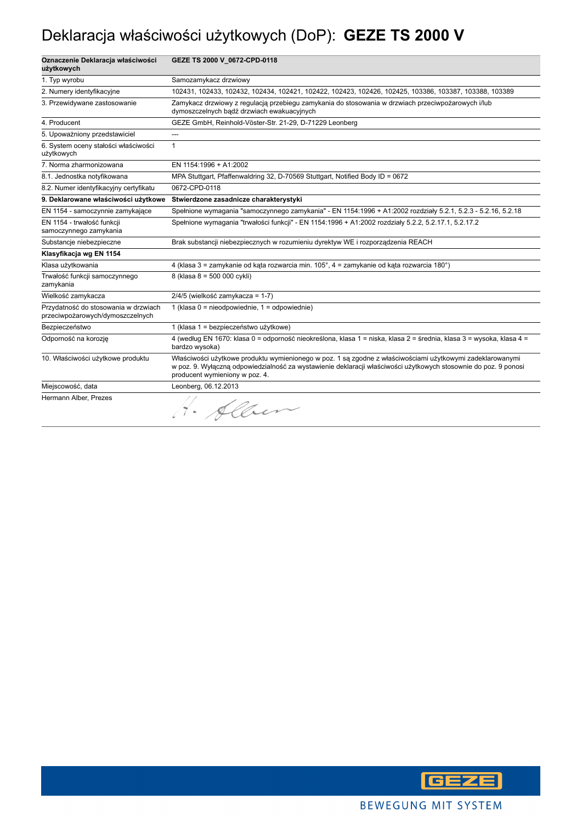## Deklaracja właściwości użytkowych (DoP): **GEZE TS 2000 V**

| Oznaczenie Deklaracja właściwości<br>użytkowych                          | GEZE TS 2000 V_0672-CPD-0118                                                                                                                                                                                                                                   |
|--------------------------------------------------------------------------|----------------------------------------------------------------------------------------------------------------------------------------------------------------------------------------------------------------------------------------------------------------|
| 1. Typ wyrobu                                                            | Samozamykacz drzwiowy                                                                                                                                                                                                                                          |
| 2. Numery identyfikacyjne                                                | 102431, 102433, 102432, 102434, 102421, 102422, 102423, 102426, 102425, 103386, 103387, 103388, 103389                                                                                                                                                         |
| 3. Przewidywane zastosowanie                                             | Zamykacz drzwiowy z regulacją przebiegu zamykania do stosowania w drzwiach przeciwpożarowych i/lub<br>dymoszczelnych bądź drzwiach ewakuacyjnych                                                                                                               |
| 4. Producent                                                             | GEZE GmbH, Reinhold-Vöster-Str. 21-29, D-71229 Leonberg                                                                                                                                                                                                        |
| 5. Upoważniony przedstawiciel                                            | ---                                                                                                                                                                                                                                                            |
| 6. System oceny stałości właściwości<br>użytkowych                       | $\mathbf{1}$                                                                                                                                                                                                                                                   |
| 7. Norma zharmonizowana                                                  | EN 1154:1996 + A1:2002                                                                                                                                                                                                                                         |
| 8.1. Jednostka notyfikowana                                              | MPA Stuttgart, Pfaffenwaldring 32, D-70569 Stuttgart, Notified Body ID = 0672                                                                                                                                                                                  |
| 8.2. Numer identyfikacyjny certyfikatu                                   | 0672-CPD-0118                                                                                                                                                                                                                                                  |
| 9. Deklarowane właściwości użytkowe                                      | Stwierdzone zasadnicze charakterystyki                                                                                                                                                                                                                         |
| EN 1154 - samoczynnie zamykające                                         | Spełnione wymagania "samoczynnego zamykania" - EN 1154:1996 + A1:2002 rozdziały 5.2.1, 5.2.3 - 5.2.16, 5.2.18                                                                                                                                                  |
| EN 1154 - trwałość funkcji<br>samoczynnego zamykania                     | Spełnione wymagania "trwałości funkcji" - EN 1154:1996 + A1:2002 rozdziały 5.2.2, 5.2.17.1, 5.2.17.2                                                                                                                                                           |
| Substancje niebezpieczne                                                 | Brak substancji niebezpiecznych w rozumieniu dyrektyw WE i rozporządzenia REACH                                                                                                                                                                                |
| Klasyfikacja wg EN 1154                                                  |                                                                                                                                                                                                                                                                |
| Klasa użytkowania                                                        | 4 (klasa 3 = zamykanie od kąta rozwarcia min. 105°, 4 = zamykanie od kąta rozwarcia 180°)                                                                                                                                                                      |
| Trwałość funkcji samoczynnego<br>zamykania                               | 8 (klasa 8 = 500 000 cykli)                                                                                                                                                                                                                                    |
| Wielkość zamykacza                                                       | 2/4/5 (wielkość zamykacza = 1-7)                                                                                                                                                                                                                               |
| Przydatność do stosowania w drzwiach<br>przeciwpożarowych/dymoszczelnych | 1 (klasa 0 = nieodpowiednie, 1 = odpowiednie)                                                                                                                                                                                                                  |
| Bezpieczeństwo                                                           | 1 (klasa 1 = bezpieczeństwo użytkowe)                                                                                                                                                                                                                          |
| Odporność na korozje                                                     | 4 (według EN 1670: klasa 0 = odporność nieokreślona, klasa 1 = niska, klasa 2 = średnia, klasa 3 = wysoka, klasa 4 =<br>bardzo wysoka)                                                                                                                         |
| 10. Właściwości użytkowe produktu                                        | Właściwości użytkowe produktu wymienionego w poz. 1 są zgodne z właściwościami użytkowymi zadeklarowanymi<br>w poz. 9. Wyłączną odpowiedzialność za wystawienie deklaracji właściwości użytkowych stosownie do poz. 9 ponosi<br>producent wymieniony w poz. 4. |
| Miejscowość, data                                                        | Leonberg, 06.12.2013                                                                                                                                                                                                                                           |
| Hermann Alber, Prezes                                                    | H. Alben                                                                                                                                                                                                                                                       |

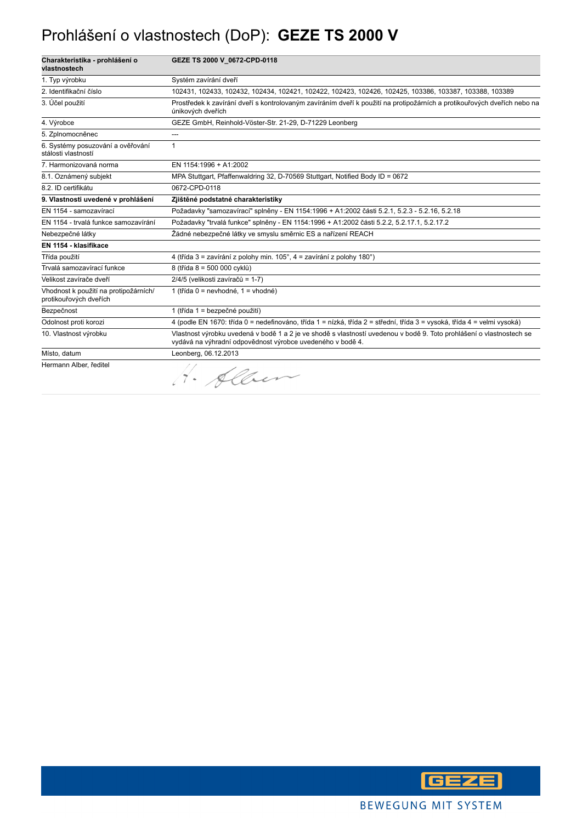### Prohlášení o vlastnostech (DoP): **GEZE TS 2000 V**

| Charakteristika - prohlášení o<br>vlastnostech                  | GEZE TS 2000 V 0672-CPD-0118                                                                                                                                                       |
|-----------------------------------------------------------------|------------------------------------------------------------------------------------------------------------------------------------------------------------------------------------|
| 1. Typ výrobku                                                  | Systém zavírání dveří                                                                                                                                                              |
| 2. Identifikační číslo                                          | 102431, 102433, 102432, 102434, 102421, 102422, 102423, 102426, 102425, 103386, 103387, 103388, 103389                                                                             |
| 3. Účel použití                                                 | Prostředek k zavírání dveří s kontrolovaným zavíráním dveří k použití na protipožárních a protikouřových dveřích nebo na<br>únikových dveřích                                      |
| 4. Výrobce                                                      | GEZE GmbH, Reinhold-Vöster-Str. 21-29, D-71229 Leonberg                                                                                                                            |
| 5. Zplnomocněnec                                                | ---                                                                                                                                                                                |
| 6. Systémy posuzování a ověřování<br>stálosti vlastností        | $\mathbf{1}$                                                                                                                                                                       |
| 7. Harmonizovaná norma                                          | EN 1154:1996 + A1:2002                                                                                                                                                             |
| 8.1. Oznámený subjekt                                           | MPA Stuttgart, Pfaffenwaldring 32, D-70569 Stuttgart, Notified Body ID = 0672                                                                                                      |
| 8.2. ID certifikátu                                             | 0672-CPD-0118                                                                                                                                                                      |
| 9. Vlastnosti uvedené v prohlášení                              | Zjištěné podstatné charakteristiky                                                                                                                                                 |
| EN 1154 - samozavírací                                          | Požadavky "samozavírací" splněny - EN 1154:1996 + A1:2002 části 5.2.1, 5.2.3 - 5.2.16, 5.2.18                                                                                      |
| EN 1154 - trvalá funkce samozavírání                            | Požadavky "trvalá funkce" splněny - EN 1154:1996 + A1:2002 části 5.2.2, 5.2.17.1, 5.2.17.2                                                                                         |
| Nebezpečné látky                                                | Žádné nebezpečné látky ve smyslu směrnic ES a nařízení REACH                                                                                                                       |
| EN 1154 - klasifikace                                           |                                                                                                                                                                                    |
| Třída použití                                                   | 4 (třída 3 = zavírání z polohy min. 105°, 4 = zavírání z polohy 180°)                                                                                                              |
| Trvalá samozavírací funkce                                      | 8 (třída 8 = 500 000 cyklů)                                                                                                                                                        |
| Velikost zavírače dveří                                         | 2/4/5 (velikosti zavíračů = 1-7)                                                                                                                                                   |
| Vhodnost k použití na protipožárních/<br>protikouřových dveřích | 1 (třída 0 = nevhodné, 1 = vhodné)                                                                                                                                                 |
| Bezpečnost                                                      | 1 (třída 1 = bezpečné použití)                                                                                                                                                     |
| Odolnost proti korozi                                           | 4 (podle EN 1670: třída 0 = nedefinováno, třída 1 = nízká, třída 2 = střední, třída 3 = vysoká, třída 4 = velmi vysoká)                                                            |
| 10. Vlastnost výrobku                                           | Vlastnost výrobku uvedená v bodě 1 a 2 je ve shodě s vlastností uvedenou v bodě 9. Toto prohlášení o vlastnostech se<br>vydává na výhradní odpovědnost výrobce uvedeného v bodě 4. |
| Místo, datum                                                    | Leonberg, 06.12.2013                                                                                                                                                               |
| Hermann Alber, ředitel                                          |                                                                                                                                                                                    |

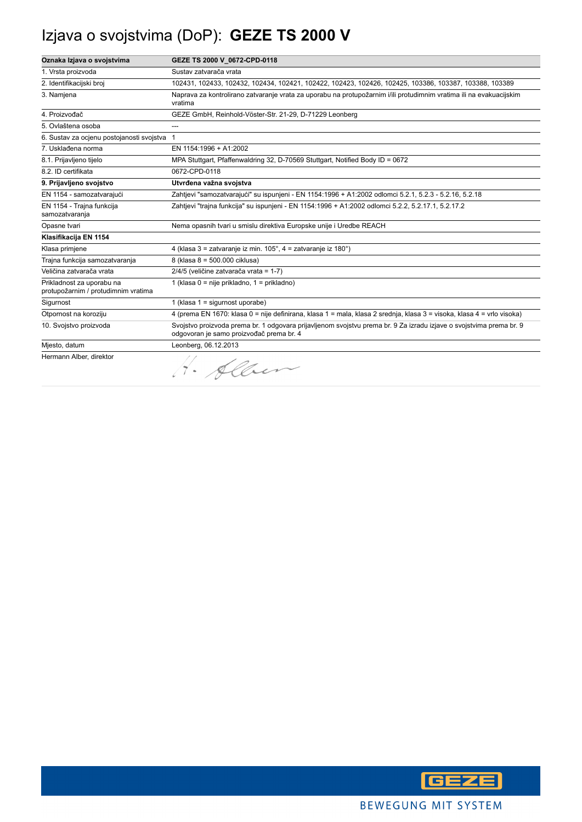## Izjava o svojstvima (DoP): **GEZE TS 2000 V**

| Oznaka Izjava o svojstvima                                       | GEZE TS 2000 V 0672-CPD-0118                                                                                                                                    |
|------------------------------------------------------------------|-----------------------------------------------------------------------------------------------------------------------------------------------------------------|
| 1. Vrsta proizvoda                                               | Sustav zatvarača vrata                                                                                                                                          |
| 2. Identifikacijski broj                                         | 102431, 102433, 102432, 102434, 102421, 102422, 102423, 102426, 102425, 103386, 103387, 103388, 103389                                                          |
| 3. Namjena                                                       | Naprava za kontrolirano zatvaranje vrata za uporabu na protupožarnim i/ili protudimnim vratima ili na evakuacijskim<br>vratima                                  |
| 4. Proizvođač                                                    | GEZE GmbH, Reinhold-Vöster-Str. 21-29, D-71229 Leonberg                                                                                                         |
| 5. Ovlaštena osoba                                               | $---$                                                                                                                                                           |
| 6. Sustav za ocjenu postojanosti svojstva 1                      |                                                                                                                                                                 |
| 7. Usklađena norma                                               | EN 1154:1996 + A1:2002                                                                                                                                          |
| 8.1. Prijavljeno tijelo                                          | MPA Stuttgart, Pfaffenwaldring 32, D-70569 Stuttgart, Notified Body ID = 0672                                                                                   |
| 8.2. ID certifikata                                              | 0672-CPD-0118                                                                                                                                                   |
| 9. Prijavljeno svojstvo                                          | Utvrđena važna svojstva                                                                                                                                         |
| EN 1154 - samozatvarajući                                        | Zahtjevi "samozatvarajući" su ispunjeni - EN 1154:1996 + A1:2002 odlomci 5.2.1, 5.2.3 - 5.2.16, 5.2.18                                                          |
| EN 1154 - Trajna funkcija<br>samozatvaranja                      | Zahtjevi "trajna funkcija" su ispunjeni - EN 1154:1996 + A1:2002 odlomci 5.2.2, 5.2.17.1, 5.2.17.2                                                              |
| Opasne tvari                                                     | Nema opasnih tvari u smislu direktiva Europske unije i Uredbe REACH                                                                                             |
| Klasifikacija EN 1154                                            |                                                                                                                                                                 |
| Klasa primjene                                                   | 4 (klasa 3 = zatvaranje iz min. 105°, 4 = zatvaranje iz 180°)                                                                                                   |
| Trajna funkcija samozatvaranja                                   | 8 (klasa 8 = 500.000 ciklusa)                                                                                                                                   |
| Veličina zatvarača vrata                                         | 2/4/5 (veličine zatvarača vrata = 1-7)                                                                                                                          |
| Prikladnost za uporabu na<br>protupožarnim / protudimnim vratima | 1 (klasa 0 = nije prikladno, 1 = prikladno)                                                                                                                     |
| Sigurnost                                                        | 1 (klasa $1 =$ sigurnost uporabe)                                                                                                                               |
| Otpornost na koroziju                                            | 4 (prema EN 1670: klasa 0 = nije definirana, klasa 1 = mala, klasa 2 srednja, klasa 3 = visoka, klasa 4 = vrlo visoka)                                          |
| 10. Svojstvo proizvoda                                           | Svojstvo proizvoda prema br. 1 odgovara prijavljenom svojstvu prema br. 9 Za izradu izjave o svojstvima prema br. 9<br>odgovoran je samo proizvođač prema br. 4 |
| Miesto, datum                                                    | Leonberg, 06.12.2013                                                                                                                                            |
| Hermann Alber, direktor                                          | · Alben                                                                                                                                                         |